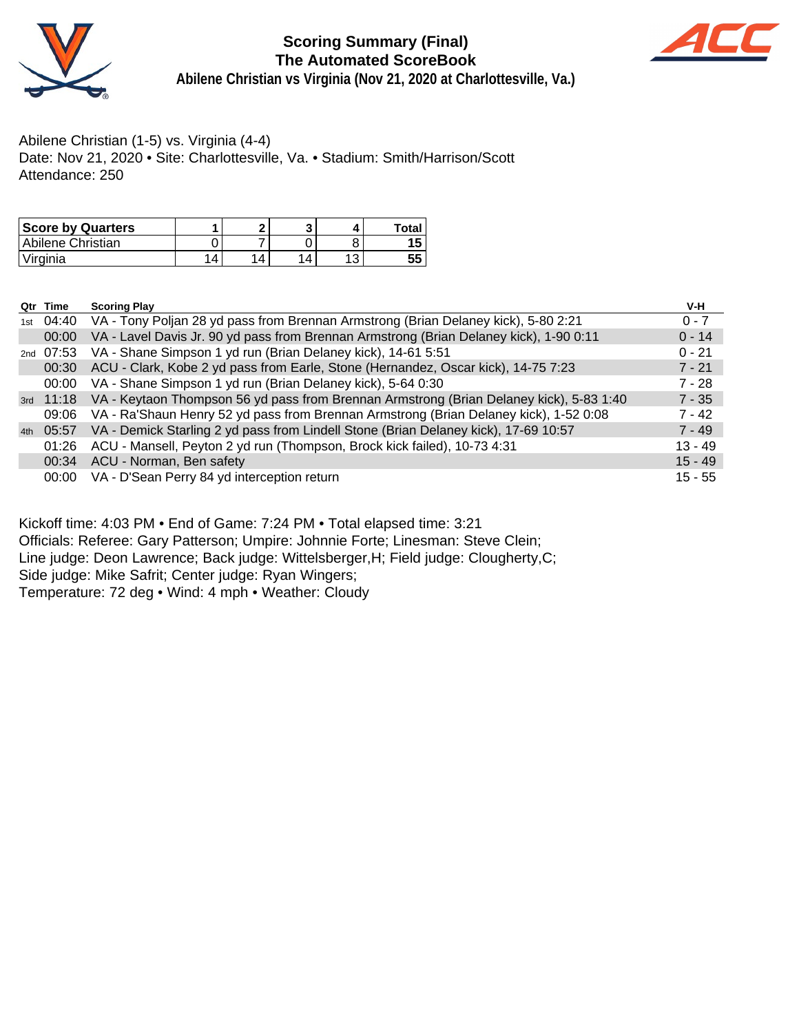

# **Scoring Summary (Final) The Automated ScoreBook**



**Abilene Christian vs Virginia (Nov 21, 2020 at Charlottesville, Va.)**

# Abilene Christian (1-5) vs. Virginia (4-4)

Date: Nov 21, 2020 • Site: Charlottesville, Va. • Stadium: Smith/Harrison/Scott Attendance: 250

| <b>Score by Quarters</b> |   |   |   | Total |
|--------------------------|---|---|---|-------|
| Abilene Christian        |   |   |   |       |
| 'Virginia                | 4 | 4 | Δ |       |

|     | Qtr Time  | <b>Scoring Play</b>                                                                               | V-H       |
|-----|-----------|---------------------------------------------------------------------------------------------------|-----------|
| 1st |           | 04:40 VA - Tony Poljan 28 yd pass from Brennan Armstrong (Brian Delaney kick), 5-80 2:21          | $0 - 7$   |
|     | 00:00     | VA - Lavel Davis Jr. 90 yd pass from Brennan Armstrong (Brian Delaney kick), 1-90 0:11            | $0 - 14$  |
|     | 2nd 07:53 | VA - Shane Simpson 1 yd run (Brian Delaney kick), 14-61 5:51                                      | $0 - 21$  |
|     | 00:30     | ACU - Clark, Kobe 2 yd pass from Earle, Stone (Hernandez, Oscar kick), 14-75 7:23                 | $7 - 21$  |
|     | 00:00     | VA - Shane Simpson 1 yd run (Brian Delaney kick), 5-64 0:30                                       | $7 - 28$  |
|     |           | 3rd 11:18 VA - Keytaon Thompson 56 yd pass from Brennan Armstrong (Brian Delaney kick), 5-83 1:40 | $7 - 35$  |
|     | 09:06     | VA - Ra'Shaun Henry 52 yd pass from Brennan Armstrong (Brian Delaney kick), 1-52 0:08             | $7 - 42$  |
|     | 4th 05:57 | VA - Demick Starling 2 yd pass from Lindell Stone (Brian Delaney kick), 17-69 10:57               | $7 - 49$  |
|     | 01:26     | ACU - Mansell, Peyton 2 yd run (Thompson, Brock kick failed), 10-73 4:31                          | $13 - 49$ |
|     | 00:34     | ACU - Norman, Ben safety                                                                          | $15 - 49$ |
|     | 00:00     | VA - D'Sean Perry 84 yd interception return                                                       | $15 - 55$ |

Kickoff time: 4:03 PM • End of Game: 7:24 PM • Total elapsed time: 3:21

Officials: Referee: Gary Patterson; Umpire: Johnnie Forte; Linesman: Steve Clein;

Line judge: Deon Lawrence; Back judge: Wittelsberger,H; Field judge: Clougherty,C;

Side judge: Mike Safrit; Center judge: Ryan Wingers;

Temperature: 72 deg • Wind: 4 mph • Weather: Cloudy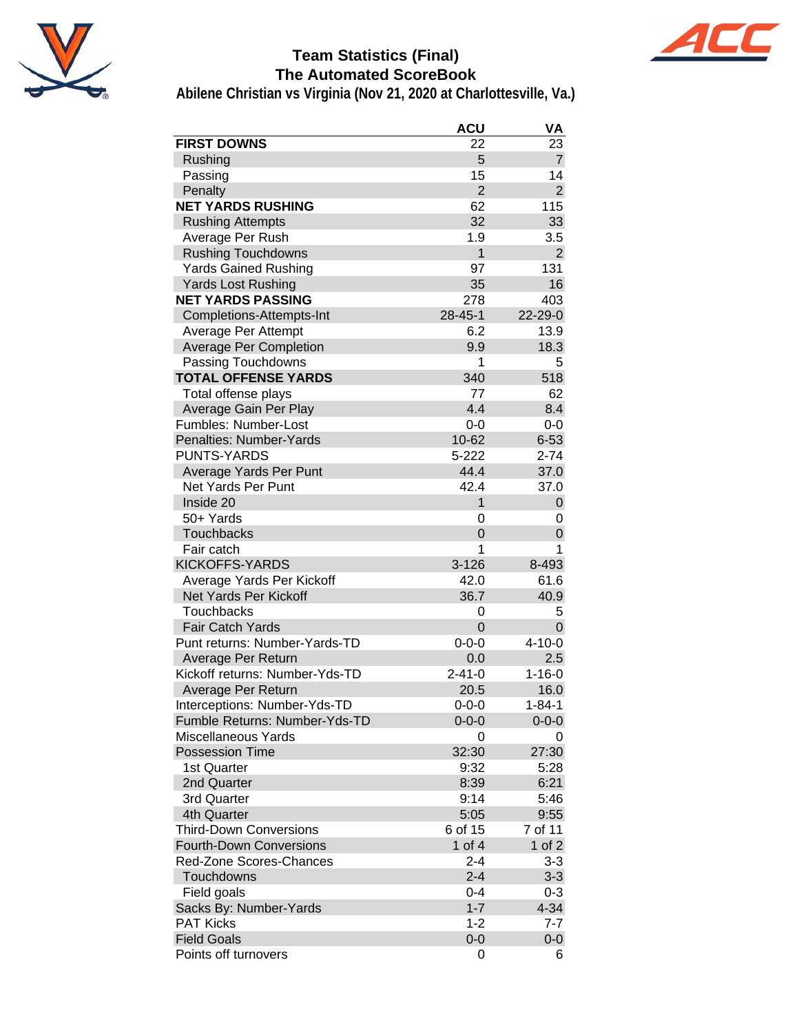

# **Team Statistics (Final) The Automated ScoreBook**



|                                | <b>ACU</b>     | VA             |
|--------------------------------|----------------|----------------|
| <b>FIRST DOWNS</b>             | 22             | 23             |
| Rushing                        | 5              | $\overline{7}$ |
| Passing                        | 15             | 14             |
| Penalty                        | $\overline{2}$ | $\overline{2}$ |
| <b>NET YARDS RUSHING</b>       | 62             | 115            |
| <b>Rushing Attempts</b>        | 32             | 33             |
| Average Per Rush               | 1.9            | 3.5            |
| <b>Rushing Touchdowns</b>      | 1              | $\overline{2}$ |
| <b>Yards Gained Rushing</b>    | 97             | 131            |
| <b>Yards Lost Rushing</b>      | 35             | 16             |
| <b>NET YARDS PASSING</b>       | 278            | 403            |
| Completions-Attempts-Int       | $28 - 45 - 1$  | 22-29-0        |
| Average Per Attempt            | 6.2            | 13.9           |
| <b>Average Per Completion</b>  | 9.9            | 18.3           |
| Passing Touchdowns             | 1              | 5              |
| <b>TOTAL OFFENSE YARDS</b>     | 340            | 518            |
| Total offense plays            | 77             | 62             |
| Average Gain Per Play          | 4.4            | 8.4            |
| Fumbles: Number-Lost           | $0 - 0$        | $0-0$          |
| Penalties: Number-Yards        | 10-62          | $6 - 53$       |
| <b>PUNTS-YARDS</b>             | $5 - 222$      | $2 - 74$       |
| Average Yards Per Punt         | 44.4           | 37.0           |
| Net Yards Per Punt             | 42.4           | 37.0           |
| Inside 20                      | 1              | 0              |
| 50+ Yards                      | 0              | 0              |
| <b>Touchbacks</b>              | $\Omega$       | 0              |
| Fair catch                     | 1              | 1              |
| <b>KICKOFFS-YARDS</b>          | $3 - 126$      | 8-493          |
| Average Yards Per Kickoff      | 42.0           | 61.6           |
| Net Yards Per Kickoff          | 36.7           | 40.9           |
| Touchbacks                     | 0              | 5              |
| <b>Fair Catch Yards</b>        | $\Omega$       | 0              |
| Punt returns: Number-Yards-TD  | $0 - 0 - 0$    | $4 - 10 - 0$   |
| Average Per Return             | 0.0            | 2.5            |
| Kickoff returns: Number-Yds-TD | $2 - 41 - 0$   | $1 - 16 - 0$   |
| Average Per Return             | 20.5           | 16.0           |
| Interceptions: Number-Yds-TD   | $0 - 0 - 0$    | 1-84-1         |
| Fumble Returns: Number-Yds-TD  | $0 - 0 - 0$    | $0 - 0 - 0$    |
| <b>Miscellaneous Yards</b>     | 0              | 0              |
| <b>Possession Time</b>         | 32:30          | 27:30          |
| 1st Quarter                    | 9:32           | 5:28           |
| 2nd Quarter                    | 8:39           | 6:21           |
| 3rd Quarter                    | 9:14           | 5:46           |
| 4th Quarter                    | 5:05           | 9:55           |
| Third-Down Conversions         | 6 of 15        | 7 of 11        |
| <b>Fourth-Down Conversions</b> | 1 of $4$       | 1 of $2$       |
| <b>Red-Zone Scores-Chances</b> | $2 - 4$        | $3 - 3$        |
| Touchdowns                     | $2 - 4$        | $3 - 3$        |
| Field goals                    | $0 - 4$        | $0 - 3$        |
| Sacks By: Number-Yards         | $1 - 7$        | $4 - 34$       |
| <b>PAT Kicks</b>               | $1 - 2$        | $7 - 7$        |
| <b>Field Goals</b>             | $0 - 0$        | $0-0$          |
| Points off turnovers           | 0              | 6              |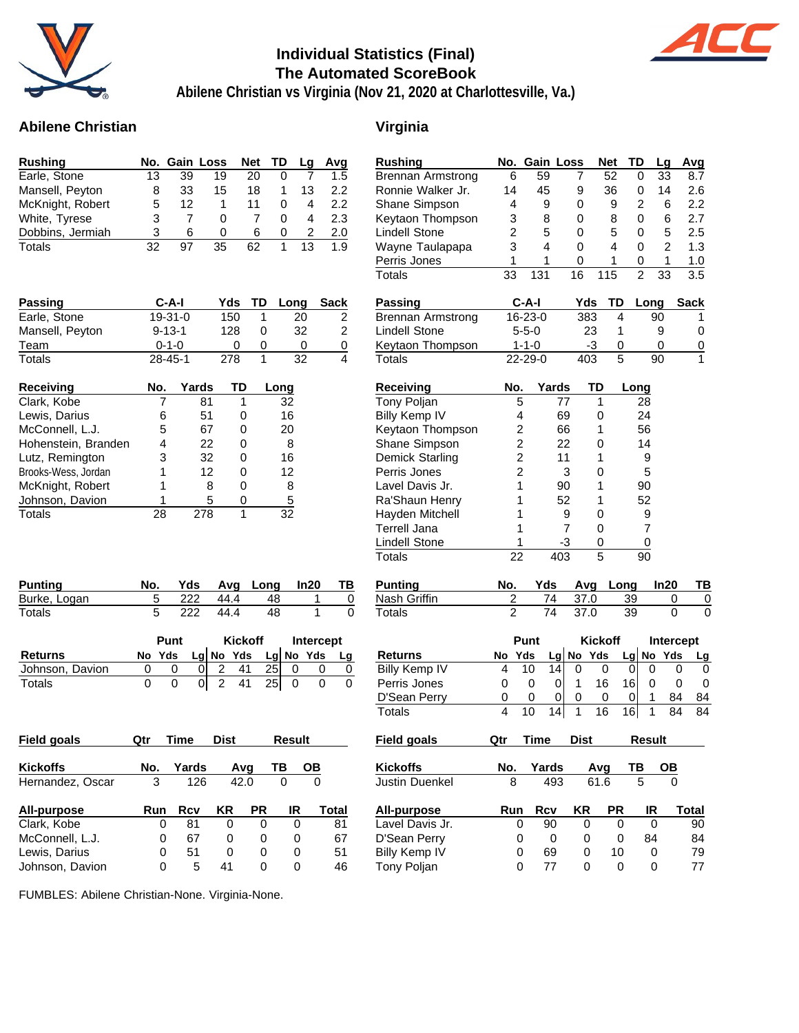

### **Individual Statistics (Final) The Automated ScoreBook**



**Abilene Christian vs Virginia (Nov 21, 2020 at Charlottesville, Va.)**

### **Abilene Christian Virginia**

| <b>Rushing</b>   |     |    | No. Gain Loss | Net TD |          | La | Avg |
|------------------|-----|----|---------------|--------|----------|----|-----|
| Earle, Stone     | 13  | 39 | 19            | 20     | $\Omega$ |    | 1.5 |
| Mansell, Peyton  | 8   | 33 | 15            | 18     |          | 13 | 2.2 |
| McKnight, Robert | 5   | 12 | 1             | 11     |          | 4  | 2.2 |
| White, Tyrese    | 3   |    | O             |        | 0        | 4  | 2.3 |
| Dobbins, Jermiah | 3   | 6  | O             | 6      | 0        | 2  | 2.0 |
| Totals           | 32. | 97 | 35            | 62     |          | 13 | 1.9 |

| Passing             | $C-A-I$       |       | Yds | TD | Long | Sack |
|---------------------|---------------|-------|-----|----|------|------|
| Earle, Stone        | $19-31-0$     |       | 150 | 1  | 20   | 2    |
| Mansell, Peyton     | $9 - 13 - 1$  |       | 128 | 0  | 32   | 2    |
| Team                | $0 - 1 - 0$   |       | O   | 0  |      | 0    |
| Totals              | $28 - 45 - 1$ |       | 278 | 1  | 32   | 4    |
| <b>Receiving</b>    | No.           | Yards | TD  |    | Long |      |
| Clark, Kobe         |               | 81    | 1   |    | 32   |      |
| Lewis, Darius       | 6             | 51    | 0   |    | 16   |      |
| McConnell, L.J.     | 5             | 67    | 0   |    | 20   |      |
| Hohenstein, Branden | 4             | 22    | 0   |    | 8    |      |
|                     |               |       |     |    |      |      |

Brooks-Wess, Jordan 1 12 0 12 McKnight, Robert 1 8 0 8 Johnson, Davion 1 5 0 5 Totals 28 278 1 32

| Rushing                       | No.            | Gain           |         | Loss   |                | <b>Net</b> | TD             | Lg               |          | Avg              |
|-------------------------------|----------------|----------------|---------|--------|----------------|------------|----------------|------------------|----------|------------------|
| <b>Brennan Armstrong</b>      | 6              | 59             |         | 7      |                | 52         | 0              | 33               |          | 8.7              |
| Ronnie Walker Jr.             | 14             |                | 45      | 9      |                | 36         | 0              | 14               |          | 2.6              |
| Shane Simpson                 | 4              |                | 9       | 0      |                | 9          | 2              | 6                |          | $2.2\phantom{0}$ |
| Keytaon Thompson              | 3              |                | 8       | 0      |                | 8          | 0              | 6                |          | 2.7              |
| <b>Lindell Stone</b>          | 2              |                | 5       | 0      |                | 5          | 0              | 5                |          | 2.5              |
| Wayne Taulapapa               | 3              |                | 4       | 0      |                | 4          | 0              | 2                |          | 1.3              |
| Perris Jones                  | 1              |                | 1       | 0      |                | 1          | 0              | 1                |          | 1.0              |
| Totals                        | 33             | 131            |         | 16     |                | 115        | $\overline{2}$ | 33               |          | 3.5              |
| Passing                       |                | C-A-I          |         | Yds    |                | TD         |                | Long             |          | <b>Sack</b>      |
| <b>Brennan Armstrong</b>      |                | 16-23-0        |         |        | 383            | 4          |                | 90               |          | 1                |
| <b>Lindell Stone</b>          |                | $5 - 5 - 0$    |         |        | 23             | 1          |                | 9                |          | 0                |
| Keytaon Thompson              |                | $1 - 1 - 0$    |         |        | -3             | 0          |                | 0                |          | 0                |
| Totals                        |                | 22-29-0        |         |        | 403            | 5          |                | 90               |          | 1                |
| Receiving                     | No.            |                | Yards   |        | TD             |            | Long           |                  |          |                  |
| Tony Poljan                   |                | 5              | 77      |        | 1              |            | 28             |                  |          |                  |
| <b>Billy Kemp IV</b>          |                | 4              | 69      |        | 0              |            | 24             |                  |          |                  |
| Keytaon Thompson              |                | $\overline{c}$ | 66      |        | 1              |            | 56             |                  |          |                  |
| Shane Simpson                 |                | $\overline{c}$ | 22      |        | 0              |            | 14             |                  |          |                  |
| Demick Starling               |                | $\overline{c}$ | 11      |        | 1              |            |                | 9                |          |                  |
| Perris Jones                  |                | $\overline{c}$ |         | 3      | 0              |            |                | 5                |          |                  |
| Lavel Davis Jr.               |                | 1              | 90      |        | 1              |            | 90             |                  |          |                  |
| Ra'Shaun Henry                |                | 1              | 52      |        | 1              |            | 52             |                  |          |                  |
| Hayden Mitchell               |                | 1              |         | 9      | 0              |            |                | 9                |          |                  |
| Terrell Jana                  |                | 1              |         | 7      | 0              |            |                | 7                |          |                  |
| Lindell Stone                 |                | 1              | -3      |        | 0              |            |                | 0                |          |                  |
| Totals                        | 22             |                | 403     |        | 5              |            | 90             |                  |          |                  |
| <b>Punting</b>                | No.            |                | Yds     | Avg    |                | Long       |                | In20             |          | TВ               |
| Nash Griffin                  | $\overline{c}$ |                | 74      | 37.0   |                |            | 39             |                  | 0        | 0                |
| Totals                        | $\overline{2}$ |                | 74      | 37.0   |                |            | 39             |                  | 0        | 0                |
|                               |                | Punt           |         |        | <b>Kickoff</b> |            |                | <b>Intercept</b> |          |                  |
| <b>Returns</b>                | No             | Yds            | Lg      | No     | Yds            |            | Lg             | No               | Yds      | <u>Lg</u>        |
| <b>Billy Kemp IV</b>          | 4              | 10             | 14      | 0      |                | 0          | 0              | 0                | 0        | 0                |
| Perris Jones                  | 0              | 0              | 0       | 1      | 16             |            | 16             | 0                | 0        | 0                |
| D'Sean Perry<br><b>Totals</b> | 0<br>4         | 0<br>10        | 0<br>14 | 0<br>1 | 16             | 0          | 0<br>16        | 1<br>1           | 84<br>84 | 84<br>84         |
|                               |                |                |         |        |                |            |                |                  |          |                  |
| Field goals                   | Qtr            | Time           |         | Dist   |                |            |                | Result           |          |                  |
| Kickoffs                      | No.            |                | Yards   |        | Avg            |            | ТВ             | OВ               |          |                  |
| Justin Duenkel                | 8              |                | 493     |        | 61.6           |            | 5              |                  | 0        |                  |
| All-purpose                   | Run            |                | Rcv     | ΚR     |                | <b>PR</b>  |                | IR               |          | Total            |
| Lavel Davis Jr.               |                | 0              | 90      |        | 0              | 0          |                | 0                |          | 90               |
| D'Sean Perry                  |                | 0              | 0       |        | 0              | 0          |                | 84               |          | 84               |
| <b>Billy Kemp IV</b>          |                | 0              | 69      |        | 0              | 10         |                | 0                |          | 79               |
| Tony Poljan                   |                | 0              | 77      |        | 0              | 0          |                | 0                |          | 77               |
|                               |                |                |         |        |                |            |                |                  |          |                  |

|                 | Punt   | Kickoff |             | Intercept |          |           |    |
|-----------------|--------|---------|-------------|-----------|----------|-----------|----|
| Returns         | No Yds |         | $Lg$ No Yds |           |          | Lg No Yds | Lg |
| Johnson, Davion |        |         | -41         | 25I       |          |           |    |
| Totals          |        |         | 01241       |           | $25$   0 |           |    |

**Punting No. Yds Avg Long In20 TB** Burke, Logan 5 222 44.4 48 1 0 Totals 5 222 44.4 48 1 0

| <b>Field goals</b> | Qtr        | Time  | <b>Dist</b> |           | Result |       | <b>Field goals</b>    | Qtr | Time  | <b>Dist</b> |      | <b>Result</b> |  |
|--------------------|------------|-------|-------------|-----------|--------|-------|-----------------------|-----|-------|-------------|------|---------------|--|
| <b>Kickoffs</b>    | No.        | Yards |             | Ava       | TΒ     | OВ    | <b>Kickoffs</b>       | No. | Yards |             | Ava  | ΤВ            |  |
| Hernandez, Oscar   | 3          | 126   |             | 42.0      | 0      | 0     | <b>Justin Duenkel</b> | 8   | 493   |             | 61.6 | 5             |  |
| All-purpose        | <b>Run</b> | Rcv   | ΚR          | <b>PR</b> | IR     | Total | All-purpose           | Run | Rcv   | ΚR          | РR   | IR            |  |
| Clark, Kobe        |            | 81    | 0           | 0         | 0      | 81    | Lavel Davis Jr.       | 0   | 90    | 0           |      | 0             |  |
| McConnell, L.J.    |            | 67    | 0           | 0         | 0      | 67    | D'Sean Perry          | 0   | 0     | 0           | 0    | 84            |  |
| Lewis, Darius      |            | 51    | 0           | 0         | 0      | 51    | Billy Kemp IV         | 0   | 69    | 0           | 10   | 0             |  |
| Johnson, Davion    |            | 5     | 41          | 0         | 0      | 46    | Tony Poljan           |     | 77    |             |      |               |  |

FUMBLES: Abilene Christian-None. Virginia-None.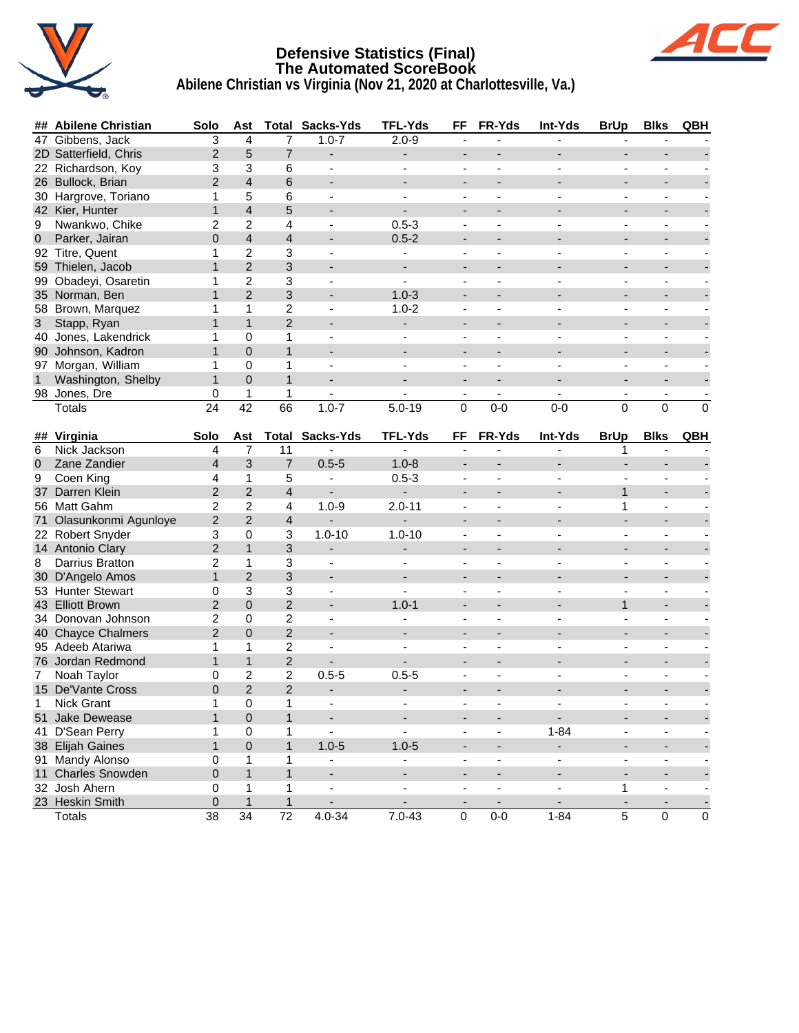

# **Defensive Statistics (Final) The Automated ScoreBook**



| ##              | <b>Abilene Christian</b> | Solo            | Ast                     |                         | <b>Total Sacks-Yds</b>   | <b>TFL-Yds</b>           | FF                                         | FR-Yds                   | Int-Yds                                    | <b>BrUp</b>              | <b>Blks</b>                                          | QBH                      |
|-----------------|--------------------------|-----------------|-------------------------|-------------------------|--------------------------|--------------------------|--------------------------------------------|--------------------------|--------------------------------------------|--------------------------|------------------------------------------------------|--------------------------|
| 47              | Gibbens, Jack            | 3               | $\overline{4}$          | 7                       | $1.0 - 7$                | $2.0 - 9$                | $\blacksquare$                             |                          |                                            |                          |                                                      |                          |
|                 | 2D Satterfield, Chris    | $\overline{2}$  | 5                       | $\overline{7}$          | -                        | -                        |                                            |                          |                                            |                          |                                                      |                          |
|                 | 22 Richardson, Koy       | 3               | 3                       | 6                       | ÷,                       | $\blacksquare$           | $\blacksquare$                             |                          |                                            | $\frac{1}{2}$            | $\blacksquare$                                       |                          |
| 26              | Bullock, Brian           | $\overline{2}$  | $\overline{4}$          | 6                       | $\overline{\phantom{a}}$ |                          | $\overline{\phantom{a}}$                   |                          |                                            | $\overline{\phantom{a}}$ | $\overline{\phantom{a}}$                             |                          |
|                 | 30 Hargrove, Toriano     | 1               | 5                       | 6                       | $\blacksquare$           |                          |                                            |                          |                                            |                          |                                                      |                          |
|                 | 42 Kier, Hunter          | $\mathbf{1}$    | $\overline{4}$          | 5                       | $\overline{\phantom{a}}$ |                          |                                            |                          |                                            |                          | $\blacksquare$                                       |                          |
| 9               | Nwankwo, Chike           | 2               | 2                       | 4                       | $\overline{\phantom{a}}$ | $0.5 - 3$                | $\overline{\phantom{a}}$                   |                          |                                            | ÷,                       | $\overline{\phantom{a}}$                             |                          |
| $\overline{0}$  | Parker, Jairan           | $\overline{0}$  | $\overline{\mathbf{4}}$ | $\overline{4}$          |                          | $0.5 - 2$                |                                            |                          |                                            |                          |                                                      |                          |
|                 | 92 Titre, Quent          | 1               | 2                       | 3                       | $\blacksquare$           |                          | $\overline{\phantom{a}}$                   |                          |                                            | ÷,                       | $\overline{\phantom{a}}$                             |                          |
|                 | 59 Thielen, Jacob        | $\mathbf{1}$    | $\overline{2}$          | 3                       | ÷                        | $\overline{\phantom{a}}$ |                                            |                          |                                            |                          | $\blacksquare$                                       |                          |
| 99              | Obadeyi, Osaretin        | 1               | 2                       | 3                       | $\blacksquare$           | ÷,                       | $\overline{\phantom{a}}$                   | $\blacksquare$           |                                            | $\frac{1}{2}$            | $\blacksquare$                                       |                          |
| 35 <sup>5</sup> | Norman, Ben              | $\mathbf{1}$    | $\overline{2}$          | 3                       | -                        | $1.0 - 3$                |                                            |                          |                                            |                          | -                                                    |                          |
|                 | 58 Brown, Marquez        | 1               | $\mathbf{1}$            | $\overline{c}$          | $\blacksquare$           | $1.0 - 2$                | $\blacksquare$                             |                          |                                            | L,                       | $\blacksquare$                                       |                          |
| 3               | Stapp, Ryan              | $\mathbf{1}$    | $\mathbf{1}$            | $\overline{c}$          | $\overline{\phantom{a}}$ | $\blacksquare$           | $\overline{\phantom{a}}$                   |                          |                                            | $\overline{\phantom{a}}$ | $\overline{\phantom{a}}$                             |                          |
| 40              | Jones, Lakendrick        | 1               | 0                       | 1                       | ÷,                       | $\blacksquare$           |                                            |                          |                                            | $\blacksquare$           |                                                      |                          |
|                 | 90 Johnson, Kadron       | $\mathbf{1}$    | $\overline{0}$          | $\mathbf{1}$            | $\overline{a}$           |                          | $\overline{\phantom{a}}$                   |                          |                                            |                          | $\blacksquare$                                       |                          |
|                 | 97 Morgan, William       | 1               | 0                       | 1                       | $\overline{\phantom{a}}$ |                          | $\blacksquare$                             |                          |                                            | ÷,                       | $\blacksquare$                                       |                          |
|                 | Washington, Shelby       | $\mathbf{1}$    | $\mathbf 0$             | $\mathbf{1}$            | $\overline{\phantom{0}}$ | $\overline{\phantom{a}}$ | $\overline{\phantom{a}}$                   |                          |                                            | $\blacksquare$           |                                                      |                          |
|                 | 98 Jones, Dre            | 0               | $\mathbf{1}$            | 1                       |                          |                          |                                            |                          |                                            |                          | $\overline{\phantom{a}}$                             |                          |
|                 | <b>Totals</b>            | $\overline{24}$ | 42                      | 66                      | $1.0 - 7$                | $5.0 - 19$               | $\overline{0}$                             | $0-0$                    | $0 - 0$                                    | 0                        | $\Omega$                                             | $\mathbf 0$              |
|                 |                          |                 |                         |                         |                          |                          |                                            |                          |                                            |                          |                                                      |                          |
| ##              | Virginia                 | Solo            | Ast                     | Total                   | Sacks-Yds                | <b>TFL-Yds</b>           | FF                                         | FR-Yds                   | Int-Yds                                    | <b>BrUp</b>              | <b>Blks</b>                                          | QBH                      |
| 6               | Nick Jackson             | 4               | $\overline{7}$          | 11                      |                          | $\overline{a}$           | $\blacksquare$                             |                          | ä,                                         | 1                        | $\blacksquare$                                       |                          |
| 0               | Zane Zandier             | 4               | 3                       | $\overline{7}$          | $0.5 - 5$                | $1.0 - 8$                | $\overline{\phantom{a}}$                   |                          | -                                          | ÷.                       |                                                      |                          |
| 9               | Coen King                | 4               | 1                       | 5                       | ä,                       | $0.5 - 3$                |                                            |                          |                                            |                          |                                                      |                          |
| 37              | Darren Klein             | $\overline{2}$  | $\overline{2}$          | 4                       | $\blacksquare$           |                          | $\overline{\phantom{a}}$                   |                          |                                            | $\mathbf{1}$             | $\blacksquare$                                       |                          |
|                 | 56 Matt Gahm             | 2               | $\overline{2}$          | 4                       | $1.0 - 9$                | $2.0 - 11$               | $\blacksquare$                             |                          |                                            | 1                        | $\overline{\phantom{a}}$                             |                          |
| 71              | Olasunkonmi Agunloye     | $\overline{c}$  | $\overline{2}$          | $\overline{4}$          |                          |                          |                                            |                          |                                            | $\blacksquare$           |                                                      |                          |
|                 | 22 Robert Snyder         | 3               | 0                       | 3                       | $1.0 - 10$               | $1.0 - 10$               | $\overline{\phantom{a}}$                   |                          |                                            | ÷,                       | $\overline{\phantom{a}}$                             |                          |
|                 | 14 Antonio Clary         | $\overline{c}$  | $\mathbf{1}$            | 3                       | $\overline{\phantom{a}}$ | $\overline{\phantom{a}}$ | $\overline{\phantom{a}}$                   |                          |                                            |                          | $\blacksquare$                                       |                          |
| 8               | Darrius Bratton          | $\overline{c}$  | $\mathbf{1}$            | 3                       | $\blacksquare$           | $\blacksquare$           | $\blacksquare$                             | $\blacksquare$           | $\overline{\phantom{a}}$                   | $\frac{1}{2}$            | $\blacksquare$                                       |                          |
| 30 <sup>°</sup> | D'Angelo Amos            | $\mathbf{1}$    | $\overline{c}$          | 3                       | $\overline{\phantom{a}}$ |                          | $\overline{\phantom{a}}$                   |                          |                                            | -                        | -                                                    |                          |
|                 | 53 Hunter Stewart        | 0               | 3                       | 3                       | ÷,                       |                          | $\blacksquare$                             |                          |                                            |                          | $\blacksquare$                                       |                          |
|                 | 43 Elliott Brown         | $\overline{c}$  | 0                       | $\overline{c}$          | $\overline{\phantom{a}}$ | $1.0 - 1$                | $\overline{\phantom{a}}$                   |                          | $\overline{\phantom{a}}$                   | $\mathbf{1}$             | $\overline{\phantom{a}}$                             |                          |
|                 | 34 Donovan Johnson       | 2               | 0                       | $\overline{c}$          |                          |                          |                                            |                          |                                            |                          |                                                      |                          |
|                 | 40 Chayce Chalmers       | $\overline{2}$  | $\overline{0}$          | $\overline{c}$          | $\overline{a}$           |                          | $\blacksquare$                             |                          |                                            |                          | $\blacksquare$                                       |                          |
|                 | 95 Adeeb Atariwa         | 1               | 1                       | $\overline{\mathbf{c}}$ | $\overline{\phantom{a}}$ | ÷,                       | $\overline{\phantom{a}}$                   |                          |                                            | $\overline{\phantom{0}}$ | $\overline{\phantom{a}}$                             |                          |
|                 | 76 Jordan Redmond        | $\mathbf{1}$    | $\mathbf{1}$            | $\overline{c}$          | $\overline{\phantom{0}}$ |                          |                                            |                          |                                            |                          |                                                      |                          |
| 7               | Noah Taylor              | 0               | $\overline{\mathbf{c}}$ | $\overline{2}$          | $0.5 - 5$                | $0.5 - 5$                |                                            |                          |                                            |                          | $\overline{\phantom{a}}$                             |                          |
|                 | 15 De'Vante Cross        | $\overline{0}$  | $\overline{c}$          | $\overline{2}$          | $\overline{\phantom{a}}$ | $\overline{\phantom{a}}$ |                                            |                          |                                            |                          |                                                      |                          |
| 1               | Nick Grant               | 1               | 0                       | 1                       | $\overline{\phantom{a}}$ |                          |                                            |                          |                                            |                          |                                                      |                          |
|                 | 51 Jake Dewease          | 1               | $\pmb{0}$               | 1                       | -                        | -                        | $\overline{\phantom{a}}$                   | $\overline{\phantom{a}}$ | $\blacksquare$                             | ۰                        | ٠                                                    |                          |
|                 | 41 D'Sean Perry          | 1               | $\mathsf{O}\xspace$     | 1                       | $\blacksquare$           | $\blacksquare$           | $\blacksquare$                             | $\blacksquare$           | $1 - 84$                                   | $\blacksquare$           | $\blacksquare$                                       | ÷,                       |
|                 | 38 Elijah Gaines         | $\mathbf{1}$    | $\mathsf 0$             | $\mathbf{1}$            | $1.0 - 5$                | $1.0 - 5$                | $\overline{\phantom{a}}$                   | $\overline{\phantom{a}}$ | $\overline{\phantom{a}}$                   | $\overline{\phantom{a}}$ |                                                      |                          |
|                 | 91 Mandy Alonso          | 0               | $\mathbf 1$             | 1                       | $\overline{\phantom{0}}$ | $\blacksquare$           | $\overline{\phantom{a}}$                   | $\blacksquare$           | $\blacksquare$                             | ä,                       | $\overline{\phantom{a}}$<br>$\overline{\phantom{a}}$ | ÷,<br>÷,                 |
|                 | 11 Charles Snowden       | 0               | $\mathbf{1}$            | $\mathbf{1}$            | $\blacksquare$           | $\blacksquare$           |                                            |                          |                                            | ÷,                       |                                                      |                          |
|                 | 32 Josh Ahern            | 0               | 1                       | 1                       | $\blacksquare$           | $\blacksquare$           | $\overline{\phantom{a}}$<br>$\blacksquare$ | $\blacksquare$           | $\overline{\phantom{a}}$<br>$\blacksquare$ | 1                        | $\overline{\phantom{a}}$                             | $\overline{\phantom{0}}$ |
|                 | 23 Heskin Smith          | 0               | $\mathbf{1}$            | $\mathbf{1}$            | $\overline{\phantom{a}}$ | $\overline{\phantom{a}}$ | $\overline{\phantom{a}}$                   | $\blacksquare$           | $\overline{\phantom{a}}$                   |                          | $\blacksquare$                                       | $\overline{\phantom{a}}$ |
|                 | Totals                   | $\overline{38}$ | $\overline{34}$         | $\overline{72}$         | $4.0 - 34$               | $7.0 - 43$               | $\mathsf{O}\xspace$                        | $0-0$                    | $1 - 84$                                   | $\overline{5}$           | $\pmb{0}$                                            | $\pmb{0}$                |
|                 |                          |                 |                         |                         |                          |                          |                                            |                          |                                            |                          |                                                      |                          |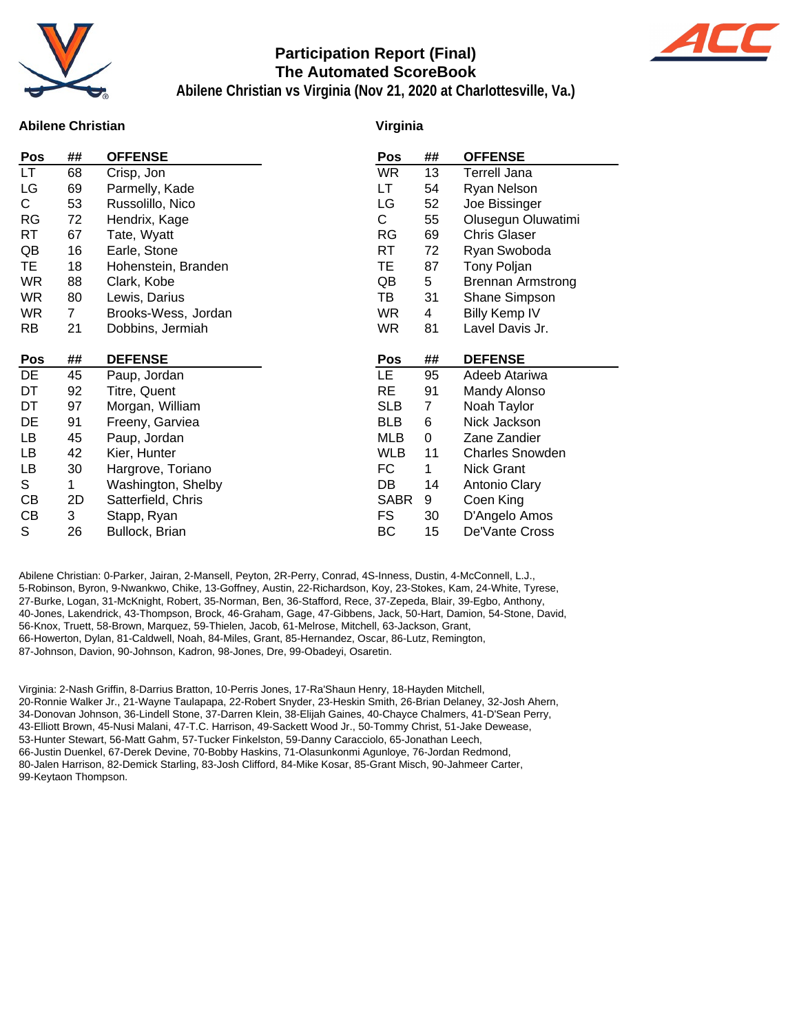

#### **Participation Report (Final) The Automated ScoreBook**



**Abilene Christian vs Virginia (Nov 21, 2020 at Charlottesville, Va.)**

#### **Abilene Christian**

#### **Virginia**

|           | ##           | <b>OFFENSE</b>      | Pos         | ##             | <b>OFFENSE</b>           |
|-----------|--------------|---------------------|-------------|----------------|--------------------------|
| LT.       | 68           | Crisp, Jon          | WR          | 13             | <b>Terrell Jana</b>      |
| LG        | 69           | Parmelly, Kade      | LT          | 54             | Ryan Nelson              |
| C.        | 53           | Russolillo, Nico    | LG          | 52             | Joe Bissinger            |
| RG        | 72           | Hendrix, Kage       | C.          | 55             | Olusegun Oluwatimi       |
| RT        | 67           | Tate, Wyatt         | RG          | 69             | <b>Chris Glaser</b>      |
| QB        | 16           | Earle, Stone        | RT          | 72             | Ryan Swoboda             |
| TE.       | 18           | Hohenstein, Branden | ТE          | 87             | <b>Tony Poljan</b>       |
| WR        | 88           | Clark, Kobe         | QB          | 5              | <b>Brennan Armstrong</b> |
| WR        | 80           | Lewis, Darius       | TB          | 31             | Shane Simpson            |
| WR        | $\mathbf{7}$ | Brooks-Wess, Jordan | WR          | 4              | <b>Billy Kemp IV</b>     |
| <b>RB</b> | 21           | Dobbins, Jermiah    | <b>WR</b>   | 81             | Lavel Davis Jr.          |
|           |              |                     |             |                |                          |
| Pos       | ##           | <b>DEFENSE</b>      | Pos         | ##             | <b>DEFENSE</b>           |
|           |              |                     |             |                |                          |
| DE        | 45           | Paup, Jordan        | <b>LE</b>   | 95             | Adeeb Atariwa            |
| DT        | 92           | Titre, Quent        | <b>RE</b>   | 91             | Mandy Alonso             |
| DT        | 97           | Morgan, William     | <b>SLB</b>  | $\overline{7}$ | Noah Taylor              |
| DE        | 91           | Freeny, Garviea     | <b>BLB</b>  | 6              | Nick Jackson             |
| LB        | 45           | Paup, Jordan        | MLB         | 0              | Zane Zandier             |
| LB        | 42           | Kier, Hunter        | <b>WLB</b>  | 11             | <b>Charles Snowden</b>   |
| LB        | 30           | Hargrove, Toriano   | FC          | 1              | Nick Grant               |
| S         | 1            | Washington, Shelby  | DB          | 14             | Antonio Clary            |
| СB        | 2D           | Satterfield, Chris  | <b>SABR</b> | 9              | Coen King                |
| СB        | 3            | Stapp, Ryan         | FS          | 30             | D'Angelo Amos            |

Abilene Christian: 0-Parker, Jairan, 2-Mansell, Peyton, 2R-Perry, Conrad, 4S-Inness, Dustin, 4-McConnell, L.J., 5-Robinson, Byron, 9-Nwankwo, Chike, 13-Goffney, Austin, 22-Richardson, Koy, 23-Stokes, Kam, 24-White, Tyrese, 27-Burke, Logan, 31-McKnight, Robert, 35-Norman, Ben, 36-Stafford, Rece, 37-Zepeda, Blair, 39-Egbo, Anthony, 40-Jones, Lakendrick, 43-Thompson, Brock, 46-Graham, Gage, 47-Gibbens, Jack, 50-Hart, Damion, 54-Stone, David, 56-Knox, Truett, 58-Brown, Marquez, 59-Thielen, Jacob, 61-Melrose, Mitchell, 63-Jackson, Grant, 66-Howerton, Dylan, 81-Caldwell, Noah, 84-Miles, Grant, 85-Hernandez, Oscar, 86-Lutz, Remington, 87-Johnson, Davion, 90-Johnson, Kadron, 98-Jones, Dre, 99-Obadeyi, Osaretin.

Virginia: 2-Nash Griffin, 8-Darrius Bratton, 10-Perris Jones, 17-Ra'Shaun Henry, 18-Hayden Mitchell, 20-Ronnie Walker Jr., 21-Wayne Taulapapa, 22-Robert Snyder, 23-Heskin Smith, 26-Brian Delaney, 32-Josh Ahern, 34-Donovan Johnson, 36-Lindell Stone, 37-Darren Klein, 38-Elijah Gaines, 40-Chayce Chalmers, 41-D'Sean Perry, 43-Elliott Brown, 45-Nusi Malani, 47-T.C. Harrison, 49-Sackett Wood Jr., 50-Tommy Christ, 51-Jake Dewease, 53-Hunter Stewart, 56-Matt Gahm, 57-Tucker Finkelston, 59-Danny Caracciolo, 65-Jonathan Leech, 66-Justin Duenkel, 67-Derek Devine, 70-Bobby Haskins, 71-Olasunkonmi Agunloye, 76-Jordan Redmond, 80-Jalen Harrison, 82-Demick Starling, 83-Josh Clifford, 84-Mike Kosar, 85-Grant Misch, 90-Jahmeer Carter, 99-Keytaon Thompson.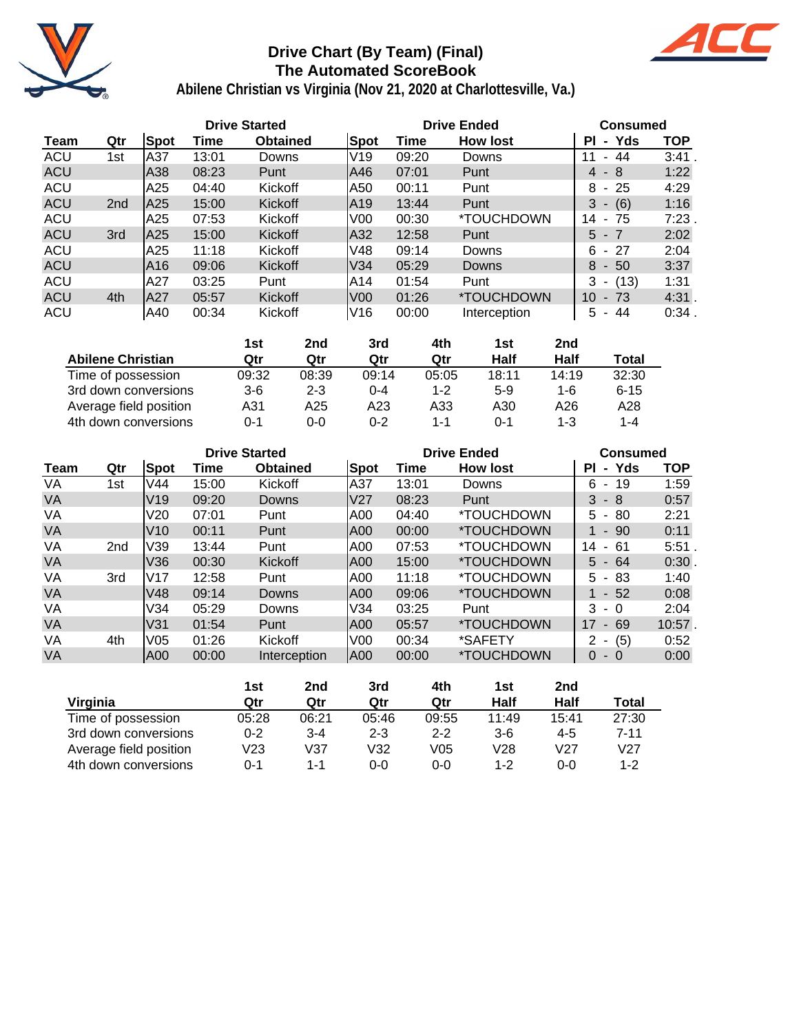

## **Drive Chart (By Team) (Final) The Automated ScoreBook**



|            |                 |      | <b>Drive Started</b> |                 |                |       | <b>Drive Ended</b> | <b>Consumed</b>                       |            |
|------------|-----------------|------|----------------------|-----------------|----------------|-------|--------------------|---------------------------------------|------------|
| Team       | Qtr             | Spot | Time                 | <b>Obtained</b> | Spot           | Time  | <b>How lost</b>    | Yds<br>ΡI<br>$\sim$                   | <b>TOP</b> |
| <b>ACU</b> | 1st             | A37  | 13:01                | Downs           | V19            | 09:20 | Downs              | 44<br>11<br>۰.                        | 3:41       |
| <b>ACU</b> |                 | A38  | 08:23                | Punt            | A46            | 07:01 | Punt               | $4 - 8$                               | 1:22       |
| <b>ACU</b> |                 | A25  | 04:40                | Kickoff         | IA50           | 00:11 | Punt               | - 25<br>8                             | 4:29       |
| <b>ACU</b> | 2 <sub>nd</sub> | A25  | 15:00                | <b>Kickoff</b>  | IA19           | 13:44 | Punt               | 3<br>(6)<br>$\overline{\phantom{a}}$  | 1:16       |
| <b>ACU</b> |                 | A25  | 07:53                | Kickoff         | V <sub>0</sub> | 00:30 | *TOUCHDOWN         | 14<br>- 75                            | 7:23       |
| <b>ACU</b> | 3rd             | A25  | 15:00                | <b>Kickoff</b>  | A32            | 12:58 | Punt               | $5 - 7$                               | 2:02       |
| <b>ACU</b> |                 | A25  | 11:18                | Kickoff         | V48            | 09:14 | Downs              | - 27<br>6                             | 2:04       |
| <b>ACU</b> |                 | A16  | 09:06                | <b>Kickoff</b>  | V34            | 05:29 | <b>Downs</b>       | 8<br>$-50$                            | 3:37       |
| <b>ACU</b> |                 | A27  | 03:25                | Punt            | IA14           | 01:54 | Punt               | 3<br>(13)<br>$\overline{\phantom{a}}$ | 1:31       |
| <b>ACU</b> | 4th             | lA27 | 05:57                | <b>Kickoff</b>  | lV00           | 01:26 | *TOUCHDOWN         | 10 <sup>°</sup><br>$-73$              | 4:31.      |
| <b>ACU</b> |                 | A40  | 00:34                | Kickoff         | V16            | 00:00 | Interception       | 5<br>44                               | 0:34       |

|                          | 1st   | 2nd     | 3rd     | 4th     | 1st         | 2nd     |          |
|--------------------------|-------|---------|---------|---------|-------------|---------|----------|
| <b>Abilene Christian</b> | Qtr   | Qtr     | Qtr     | Qtr     | <b>Half</b> | Half    | Total    |
| Time of possession       | 09:32 | 08:39   | 09:14   | 05:05   | 18:11       | 14:19   | 32:30    |
| 3rd down conversions     | $3-6$ | $2 - 3$ | 0-4     | $1 - 2$ | $5-9$       | 1-6     | $6 - 15$ |
| Average field position   | A31   | A25     | A23     | A33     | A30         | A26     | A28      |
| 4th down conversions     | ი-1   | 0-0     | $0 - 2$ | 1-1     | $0 - 1$     | $1 - 3$ | 1-4      |

|           |                 |                 |       | <b>Drive Started</b> |                |       | <b>Drive Ended</b>       | <b>Consumed</b>                       |            |  |  |
|-----------|-----------------|-----------------|-------|----------------------|----------------|-------|--------------------------|---------------------------------------|------------|--|--|
| Team      | Qtr             | Spot            | Time  | <b>Obtained</b>      | Spot           | Time  | <b>How lost</b>          | - Yds<br>ΡI                           | <b>TOP</b> |  |  |
| VA        | 1st             | V44             | 15:00 | Kickoff              | lA37           | 13:01 | Downs                    | 6<br>19<br>$\sim$                     | 1:59       |  |  |
| <b>VA</b> |                 | V <sub>19</sub> | 09:20 | Downs                | V27            | 08:23 | Punt                     | 3<br>- 8                              | 0:57       |  |  |
| VA        |                 | V20             | 07:01 | Punt                 | IA00           | 04:40 | <i><b>*TOUCHDOWN</b></i> | 80<br>5 -                             | 2:21       |  |  |
| <b>VA</b> |                 | V10             | 00:11 | Punt                 | IA00           | 00:00 | <i><b>*TOUCHDOWN</b></i> | $1 - 90$                              | 0:11       |  |  |
| VA        | 2 <sub>nd</sub> | V39             | 13:44 | Punt                 | A00            | 07:53 | <i><b>*TOUCHDOWN</b></i> | 14<br>-61<br>$\overline{\phantom{a}}$ | 5:51       |  |  |
| VA        |                 | V36             | 00:30 | Kickoff              | IA00           | 15:00 | <i><b>*TOUCHDOWN</b></i> | $5 - 64$                              | 0:30       |  |  |
| VA        | 3rd             | IV17            | 12:58 | Punt                 | A00            | 11:18 | <i><b>*TOUCHDOWN</b></i> | - 83<br>5.                            | 1:40       |  |  |
| <b>VA</b> |                 | V48             | 09:14 | Downs                | IA00           | 09:06 | <i><b>*TOUCHDOWN</b></i> | $1 - 52$                              | 0:08       |  |  |
| VA        |                 | V34             | 05:29 | Downs                | V34            | 03:25 | Punt                     | 3<br>- 0                              | 2:04       |  |  |
| <b>VA</b> |                 | V31             | 01:54 | Punt                 | A00            | 05:57 | <i><b>*TOUCHDOWN</b></i> | 17<br>$-69$                           | 10:57.     |  |  |
| VA        | 4th             | V05             | 01:26 | Kickoff              | V <sub>0</sub> | 00:34 | *SAFETY                  | $- (5)$<br>2                          | 0:52       |  |  |
| VA        |                 | IA00            | 00:00 | Interception         | A00            | 00:00 | *TOUCHDOWN               | $\Omega$<br>$-0$                      | 0:00       |  |  |

|                        | 1st     | 2nd     | 3rd     | 4th     | 1st     | 2nd             |         |
|------------------------|---------|---------|---------|---------|---------|-----------------|---------|
| Virginia               | Qtr     | Qtr     | Qtr     | Qtr     | Half    | Half            | Total   |
| Time of possession     | 05:28   | 06:21   | 05:46   | 09:55   | 11:49   | 15:41           | 27:30   |
| 3rd down conversions   | $0 - 2$ | $3 - 4$ | $2 - 3$ | $2 - 2$ | $3-6$   | 4-5             | 7-11    |
| Average field position | V23     | V37     | V32     | V05     | V28     | V <sub>27</sub> | V27     |
| 4th down conversions   | 0-1     | 1-1     | 0-0     | $0 - 0$ | $1 - 2$ | $0 - 0$         | $1 - 2$ |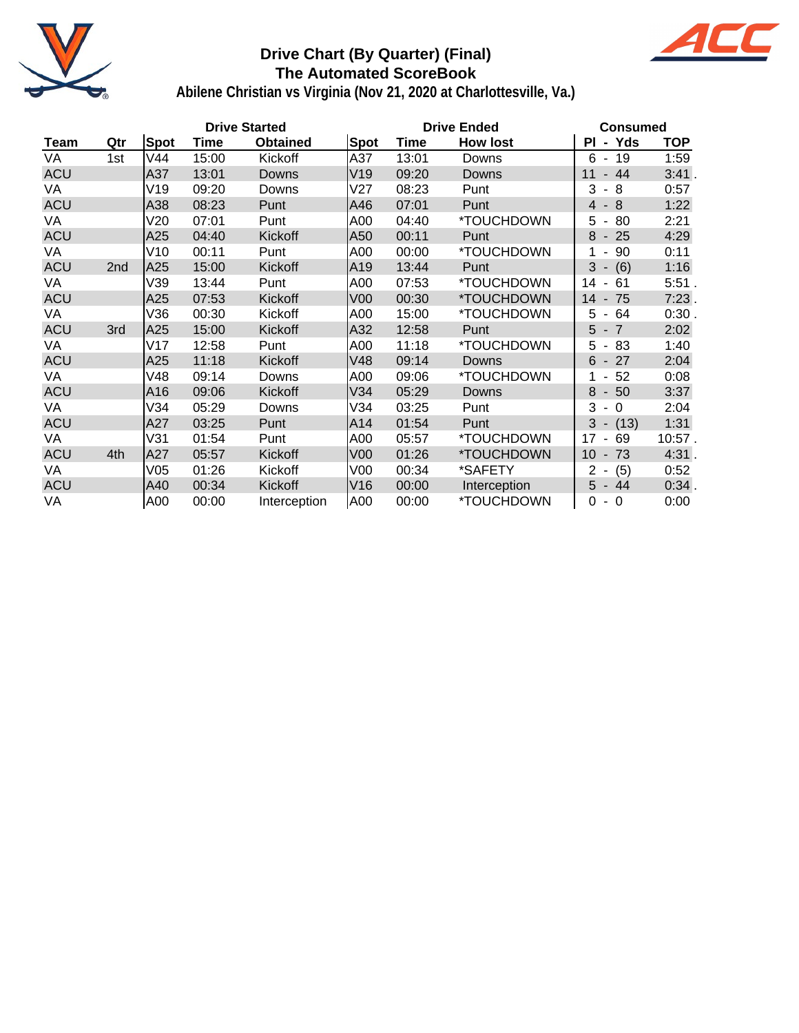

### **Drive Chart (By Quarter) (Final) The Automated ScoreBook**



|            |     |      | <b>Drive Started</b> |                 |                 |       | <b>Drive Ended</b> | <b>Consumed</b>                                 |            |  |  |
|------------|-----|------|----------------------|-----------------|-----------------|-------|--------------------|-------------------------------------------------|------------|--|--|
| Team       | Qtr | Spot | Time                 | <b>Obtained</b> | <b>Spot</b>     | Time  | <b>How lost</b>    | Yds<br>ΡI<br>$\blacksquare$                     | <b>TOP</b> |  |  |
| VA         | 1st | V44  | 15:00                | Kickoff         | A37             | 13:01 | Downs              | $6 - 19$                                        | 1:59       |  |  |
| <b>ACU</b> |     | A37  | 13:01                | Downs           | V19             | 09:20 | Downs              | 44<br>11<br>$\overline{\phantom{a}}$            | 3:41.      |  |  |
| VA         |     | V19  | 09:20                | Downs           | V27             | 08:23 | Punt               | 3<br>- 8                                        | 0:57       |  |  |
| <b>ACU</b> |     | A38  | 08:23                | Punt            | A46             | 07:01 | Punt               | $-8$<br>$\overline{4}$                          | 1:22       |  |  |
| VA         |     | V20  | 07:01                | Punt            | A00             | 04:40 | *TOUCHDOWN         | 5<br>80<br>$\overline{\phantom{a}}$             | 2:21       |  |  |
| <b>ACU</b> |     | A25  | 04:40                | Kickoff         | A50             | 00:11 | Punt               | 8<br>25<br>$\sim$                               | 4:29       |  |  |
| VA.        |     | V10  | 00:11                | Punt            | A00             | 00:00 | *TOUCHDOWN         | 90<br>1<br>$\blacksquare$                       | 0:11       |  |  |
| <b>ACU</b> | 2nd | A25  | 15:00                | Kickoff         | A19             | 13:44 | Punt               | 3<br>(6)                                        | 1:16       |  |  |
| VA         |     | V39  | 13:44                | Punt            | A00             | 07:53 | *TOUCHDOWN         | 61<br>14<br>$\blacksquare$                      | 5:51.      |  |  |
| <b>ACU</b> |     | A25  | 07:53                | Kickoff         | V <sub>00</sub> | 00:30 | *TOUCHDOWN         | 14<br>75<br>$\overline{\phantom{a}}$            | 7:23       |  |  |
| VA         |     | V36  | 00:30                | Kickoff         | A00             | 15:00 | *TOUCHDOWN         | 5<br>64<br>$\sim$                               | 0:30       |  |  |
| <b>ACU</b> | 3rd | A25  | 15:00                | Kickoff         | A32             | 12:58 | Punt               | 5<br>$-7$                                       | 2:02       |  |  |
| VA         |     | V17  | 12:58                | Punt            | A00             | 11:18 | *TOUCHDOWN         | 83<br>5<br>$\sim$                               | 1:40       |  |  |
| <b>ACU</b> |     | A25  | 11:18                | Kickoff         | V48             | 09:14 | Downs              | 27<br>6<br>$\sim$                               | 2:04       |  |  |
| VA         |     | V48  | 09:14                | Downs           | A00             | 09:06 | *TOUCHDOWN         | 52<br>1<br>$\sim$                               | 0:08       |  |  |
| <b>ACU</b> |     | A16  | 09:06                | Kickoff         | V34             | 05:29 | <b>Downs</b>       | 8<br>$-50$                                      | 3:37       |  |  |
| VA         |     | V34  | 05:29                | Downs           | V34             | 03:25 | Punt               | 3<br>$\overline{0}$<br>$\overline{\phantom{a}}$ | 2:04       |  |  |
| <b>ACU</b> |     | A27  | 03:25                | Punt            | A14             | 01:54 | Punt               | 3<br>(13)<br>$\blacksquare$                     | 1:31       |  |  |
| VA         |     | V31  | 01:54                | Punt            | A00             | 05:57 | *TOUCHDOWN         | 17<br>69<br>$\blacksquare$                      | $10:57$ .  |  |  |
| <b>ACU</b> | 4th | A27  | 05:57                | Kickoff         | V <sub>00</sub> | 01:26 | *TOUCHDOWN         | 10<br>$-73$                                     | 4:31.      |  |  |
| VA         |     | V05  | 01:26                | Kickoff         | V00             | 00:34 | *SAFETY            | (5)<br>$2 -$                                    | 0:52       |  |  |
| <b>ACU</b> |     | A40  | 00:34                | Kickoff         | V16             | 00:00 | Interception       | 5<br>- 44                                       | 0:34.      |  |  |
| VA         |     | A00  | 00:00                | Interception    | A00             | 00:00 | *TOUCHDOWN         | $\Omega$<br>$-0$                                | 0:00       |  |  |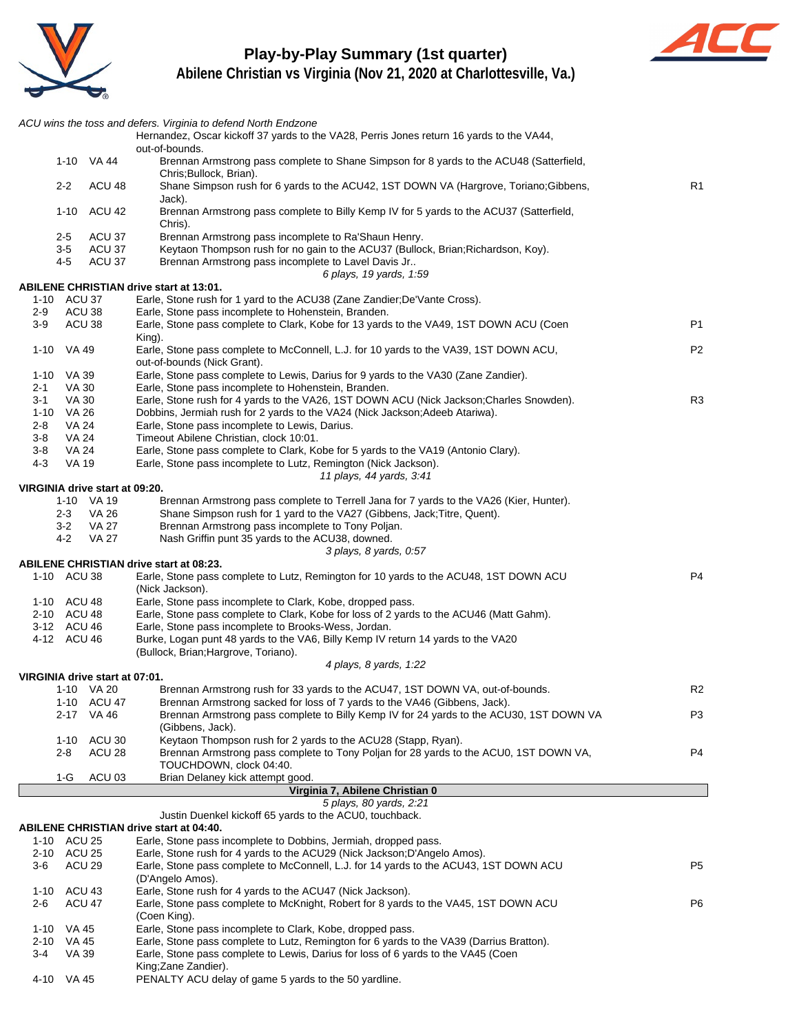

## **Play-by-Play Summary (1st quarter)**



|         |                            |                                              | ACU wins the toss and defers. Virginia to defend North Endzone<br>Hernandez, Oscar kickoff 37 yards to the VA28, Perris Jones return 16 yards to the VA44,                    |                |
|---------|----------------------------|----------------------------------------------|-------------------------------------------------------------------------------------------------------------------------------------------------------------------------------|----------------|
|         |                            | 1-10 VA 44                                   | out-of-bounds.<br>Brennan Armstrong pass complete to Shane Simpson for 8 yards to the ACU48 (Satterfield,                                                                     |                |
|         | $2 - 2$                    | ACU <sub>48</sub>                            | Chris; Bullock, Brian).<br>Shane Simpson rush for 6 yards to the ACU42, 1ST DOWN VA (Hargrove, Toriano: Gibbens,                                                              | R1             |
|         | 1-10                       | ACU 42                                       | Jack).<br>Brennan Armstrong pass complete to Billy Kemp IV for 5 yards to the ACU37 (Satterfield,                                                                             |                |
|         | $2-5$                      | ACU 37                                       | Chris).<br>Brennan Armstrong pass incomplete to Ra'Shaun Henry.                                                                                                               |                |
|         | 3-5                        | ACU 37<br>ACU 37                             | Keytaon Thompson rush for no gain to the ACU37 (Bullock, Brian; Richardson, Koy).                                                                                             |                |
|         | 4-5                        |                                              | Brennan Armstrong pass incomplete to Lavel Davis Jr<br>6 plays, 19 yards, 1:59                                                                                                |                |
|         |                            |                                              | ABILENE CHRISTIAN drive start at 13:01.                                                                                                                                       |                |
|         | 1-10 ACU 37                |                                              | Earle, Stone rush for 1 yard to the ACU38 (Zane Zandier; De'Vante Cross).                                                                                                     |                |
| 2-9     | ACU 38                     |                                              | Earle, Stone pass incomplete to Hohenstein, Branden.                                                                                                                          |                |
| 3-9     | ACU 38                     |                                              | Earle, Stone pass complete to Clark, Kobe for 13 yards to the VA49, 1ST DOWN ACU (Coen<br>King).                                                                              | P1             |
|         | 1-10 VA 49                 |                                              | Earle, Stone pass complete to McConnell, L.J. for 10 yards to the VA39, 1ST DOWN ACU,<br>out-of-bounds (Nick Grant).                                                          | P <sub>2</sub> |
| 2-1     | 1-10 VA 39                 |                                              | Earle, Stone pass complete to Lewis, Darius for 9 yards to the VA30 (Zane Zandier).                                                                                           |                |
| $3 - 1$ | VA 30<br><b>VA 30</b>      |                                              | Earle, Stone pass incomplete to Hohenstein, Branden.<br>Earle, Stone rush for 4 yards to the VA26, 1ST DOWN ACU (Nick Jackson;Charles Snowden).                               | R <sub>3</sub> |
|         | 1-10 VA 26                 |                                              | Dobbins, Jermiah rush for 2 yards to the VA24 (Nick Jackson; Adeeb Atariwa).                                                                                                  |                |
| 2-8     | <b>VA 24</b>               |                                              | Earle, Stone pass incomplete to Lewis, Darius.                                                                                                                                |                |
| $3 - 8$ | VA 24                      |                                              | Timeout Abilene Christian, clock 10:01.                                                                                                                                       |                |
| $3 - 8$ | VA 24                      |                                              | Earle, Stone pass complete to Clark, Kobe for 5 yards to the VA19 (Antonio Clary).                                                                                            |                |
| $4 - 3$ | <b>VA 19</b>               |                                              | Earle, Stone pass incomplete to Lutz, Remington (Nick Jackson).                                                                                                               |                |
|         |                            |                                              | 11 plays, 44 yards, 3:41                                                                                                                                                      |                |
|         |                            | VIRGINIA drive start at 09:20.<br>1-10 VA 19 | Brennan Armstrong pass complete to Terrell Jana for 7 yards to the VA26 (Kier, Hunter).                                                                                       |                |
|         | $2 - 3$                    | VA 26                                        | Shane Simpson rush for 1 yard to the VA27 (Gibbens, Jack; Titre, Quent).                                                                                                      |                |
|         | $3 - 2$                    | <b>VA 27</b>                                 | Brennan Armstrong pass incomplete to Tony Poljan.                                                                                                                             |                |
|         | 4-2                        | VA 27                                        | Nash Griffin punt 35 yards to the ACU38, downed.                                                                                                                              |                |
|         |                            |                                              | 3 plays, 8 yards, 0.57                                                                                                                                                        |                |
|         |                            |                                              | ABILENE CHRISTIAN drive start at 08:23.                                                                                                                                       |                |
|         | 1-10 ACU 38                |                                              | Earle, Stone pass complete to Lutz, Remington for 10 yards to the ACU48, 1ST DOWN ACU<br>(Nick Jackson).                                                                      | P <sub>4</sub> |
|         | 1-10 ACU 48<br>2-10 ACU 48 |                                              | Earle, Stone pass incomplete to Clark, Kobe, dropped pass.<br>Earle, Stone pass complete to Clark, Kobe for loss of 2 yards to the ACU46 (Matt Gahm).                         |                |
|         | 3-12 ACU 46                |                                              | Earle, Stone pass incomplete to Brooks-Wess, Jordan.                                                                                                                          |                |
|         | 4-12 ACU 46                |                                              | Burke, Logan punt 48 yards to the VA6, Billy Kemp IV return 14 yards to the VA20                                                                                              |                |
|         |                            |                                              | (Bullock, Brian; Hargrove, Toriano).                                                                                                                                          |                |
|         |                            |                                              | 4 plays, 8 yards, 1:22                                                                                                                                                        |                |
|         |                            | VIRGINIA drive start at 07:01.               |                                                                                                                                                                               |                |
|         |                            | 1-10 VA 20                                   | Brennan Armstrong rush for 33 yards to the ACU47, 1ST DOWN VA, out-of-bounds.                                                                                                 | R <sub>2</sub> |
|         |                            | 1-10 ACU 47<br>2-17 VA 46                    | Brennan Armstrong sacked for loss of 7 yards to the VA46 (Gibbens, Jack).<br>Brennan Armstrong pass complete to Billy Kemp IV for 24 yards to the ACU30, 1ST DOWN VA          | P <sub>3</sub> |
|         |                            |                                              | (Gibbens, Jack).                                                                                                                                                              |                |
|         | 1-10                       | ACU 30                                       | Keytaon Thompson rush for 2 yards to the ACU28 (Stapp, Ryan).                                                                                                                 |                |
|         | 2-8                        | ACU 28                                       | Brennan Armstrong pass complete to Tony Poljan for 28 yards to the ACU0, 1ST DOWN VA,                                                                                         | P4             |
|         |                            |                                              | TOUCHDOWN, clock 04:40.                                                                                                                                                       |                |
|         | 1-G                        | ACU <sub>03</sub>                            | Brian Delaney kick attempt good.                                                                                                                                              |                |
|         |                            |                                              | Virginia 7, Abilene Christian 0<br>5 plays, 80 yards, 2:21                                                                                                                    |                |
|         |                            |                                              | Justin Duenkel kickoff 65 yards to the ACU0, touchback.                                                                                                                       |                |
|         |                            |                                              | <b>ABILENE CHRISTIAN drive start at 04:40.</b>                                                                                                                                |                |
|         | 1-10 ACU 25                |                                              | Earle, Stone pass incomplete to Dobbins, Jermiah, dropped pass.                                                                                                               |                |
|         | 2-10 ACU 25                |                                              | Earle, Stone rush for 4 yards to the ACU29 (Nick Jackson; D'Angelo Amos).                                                                                                     |                |
| 3-6     | ACU <sub>29</sub>          |                                              | Earle, Stone pass complete to McConnell, L.J. for 14 yards to the ACU43, 1ST DOWN ACU<br>(D'Angelo Amos).                                                                     | P <sub>5</sub> |
|         | 1-10 ACU 43                |                                              | Earle, Stone rush for 4 yards to the ACU47 (Nick Jackson).                                                                                                                    |                |
| $2 - 6$ | ACU 47                     |                                              | Earle, Stone pass complete to McKnight, Robert for 8 yards to the VA45, 1ST DOWN ACU<br>(Coen King).                                                                          | P <sub>6</sub> |
| 1-10    | VA 45                      |                                              | Earle, Stone pass incomplete to Clark, Kobe, dropped pass.                                                                                                                    |                |
| 2-10    | VA 45<br>VA 39             |                                              | Earle, Stone pass complete to Lutz, Remington for 6 yards to the VA39 (Darrius Bratton).<br>Earle, Stone pass complete to Lewis, Darius for loss of 6 yards to the VA45 (Coen |                |
| 3-4     |                            |                                              |                                                                                                                                                                               |                |
|         |                            |                                              | King;Zane Zandier).                                                                                                                                                           |                |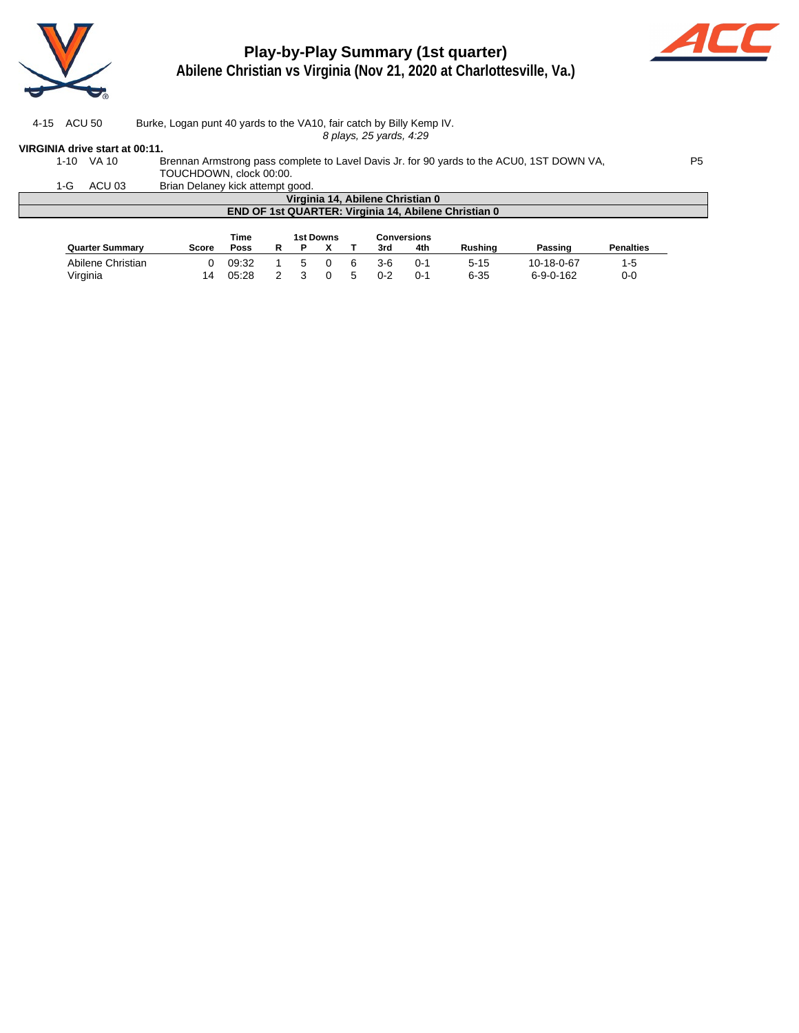

# **Play-by-Play Summary (1st quarter)**



**Abilene Christian vs Virginia (Nov 21, 2020 at Charlottesville, Va.)**

| 4-15 ACU 50 | Burke, Logan punt 40 yards to the VA10, fair catch by Billy Kemp IV. |
|-------------|----------------------------------------------------------------------|
|             |                                                                      |

8 plays, 25 yards, 4:29

#### **VIRGINIA drive start at 00:11.**

| 1-10 | VA 10                                                       | Brennan Armstrong pass complete to Lavel Davis Jr. for 90 yards to the ACU0, 1ST DOWN VA,<br>P5. |             |  |  |  |  |  |  |  |  |  |
|------|-------------------------------------------------------------|--------------------------------------------------------------------------------------------------|-------------|--|--|--|--|--|--|--|--|--|
|      |                                                             | TOUCHDOWN, clock 00:00.                                                                          |             |  |  |  |  |  |  |  |  |  |
| 1-G  | ACU 03                                                      | Brian Delaney kick attempt good.                                                                 |             |  |  |  |  |  |  |  |  |  |
|      | Virginia 14. Abilene Christian 0                            |                                                                                                  |             |  |  |  |  |  |  |  |  |  |
|      | <b>END OF 1st QUARTER: Virginia 14, Abilene Christian 0</b> |                                                                                                  |             |  |  |  |  |  |  |  |  |  |
|      |                                                             |                                                                                                  |             |  |  |  |  |  |  |  |  |  |
|      |                                                             | 1st Downs<br>Time                                                                                | Conversions |  |  |  |  |  |  |  |  |  |

|                        | .<br>------------ |       |  |    |  |          | ------------ |     |                |                   |                  |
|------------------------|-------------------|-------|--|----|--|----------|--------------|-----|----------------|-------------------|------------------|
| <b>Quarter Summary</b> | Score             | Poss  |  |    |  |          | 3rd          | 4th | <b>Rushing</b> | Passing           | <b>Penalties</b> |
| Abilene Christian      |                   | 09:32 |  | 5. |  | <b>6</b> | 3-6          | ∩-1 | 5-15           | 10-18-0-67        | 1-5              |
| Virginia               |                   | 05:28 |  |    |  | .5       | $0 - 2$      | ∩-1 | $6 - 35$       | $6 - 9 - 0 - 162$ | 0-0              |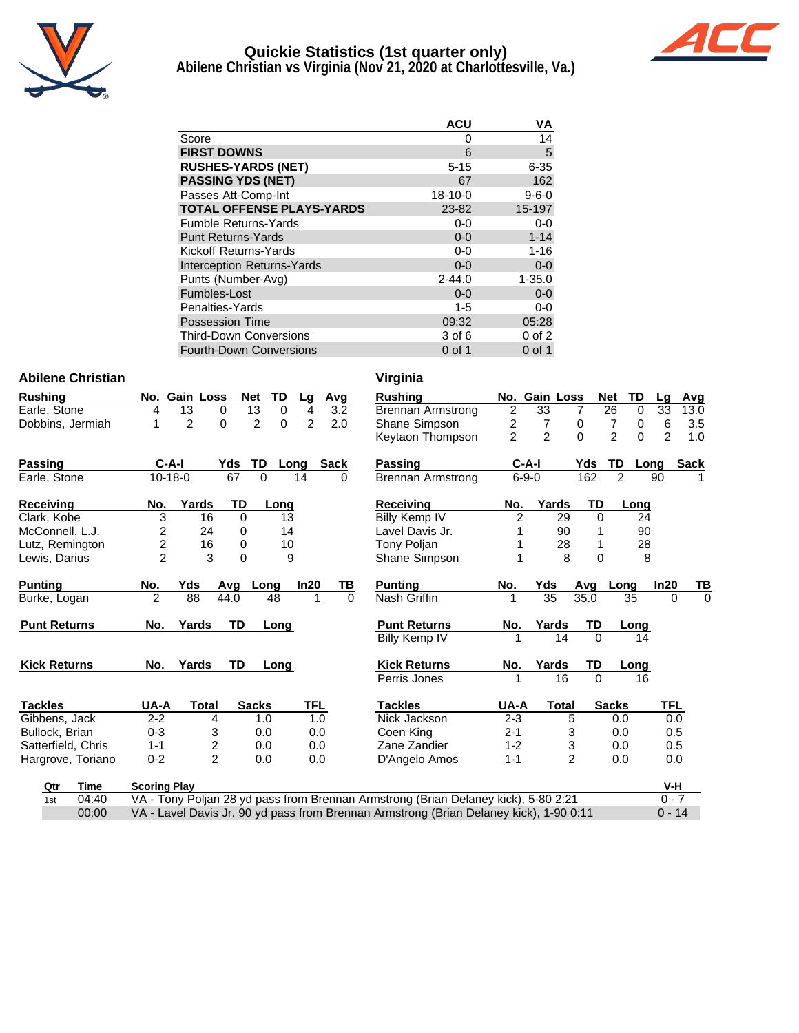

# **Quickie Statistics (1st quarter only)**



**Abilene Christian vs Virginia (Nov 21, 2020 at Charlottesville, Va.)**

|                                   | <b>ACU</b>    | VA          |
|-----------------------------------|---------------|-------------|
| Score                             | 0             | 14          |
| <b>FIRST DOWNS</b>                | 6             | 5           |
| <b>RUSHES-YARDS (NET)</b>         | $5 - 15$      | $6 - 35$    |
| <b>PASSING YDS (NET)</b>          | 67            | 162         |
| Passes Att-Comp-Int               | $18 - 10 - 0$ | $9 - 6 - 0$ |
| <b>TOTAL OFFENSE PLAYS-YARDS</b>  | 23-82         | 15-197      |
| <b>Fumble Returns-Yards</b>       | $0-0$         | $0-0$       |
| <b>Punt Returns-Yards</b>         | $0 - 0$       | $1 - 14$    |
| Kickoff Returns-Yards             | $0 - 0$       | $1 - 16$    |
| <b>Interception Returns-Yards</b> | $0 - 0$       | $0 - 0$     |
| Punts (Number-Avg)                | $2 - 44.0$    | $1 - 35.0$  |
| Fumbles-Lost                      | $0 - 0$       | $0 - 0$     |
| Penalties-Yards                   | $1 - 5$       | 0-0         |
| <b>Possession Time</b>            | 09:32         | 05:28       |
| <b>Third-Down Conversions</b>     | 3 of 6        | $0$ of $2$  |
| <b>Fourth-Down Conversions</b>    | $0$ of 1      | $0$ of 1    |

00:00 VA - Lavel Davis Jr. 90 yd pass from Brennan Armstrong (Brian Delaney kick), 1-90 0:11 0 - 14

#### **Abilene Christian Virginia**

| <b>Rushing</b>      |                | No. Gain Loss           | <b>Net</b>        | TD                         | Lg             | Avg         | <b>Rushing</b>           |                | No. Gain Loss  |                |          | <b>Net</b><br>TD              |
|---------------------|----------------|-------------------------|-------------------|----------------------------|----------------|-------------|--------------------------|----------------|----------------|----------------|----------|-------------------------------|
| Earle, Stone        | 4              | 13                      | 0                 | 13<br>$\Omega$             | 4              | 3.2         | Brennan Armstrong        | $\overline{2}$ | 33             | 7              |          | 26<br>$\Omega$                |
| Dobbins, Jermiah    | 1              | $\overline{2}$          | 0                 | $\overline{2}$<br>$\Omega$ | $\overline{2}$ | 2.0         | Shane Simpson            | $\overline{c}$ | $\overline{7}$ | 0              |          | $\overline{7}$<br>$\mathbf 0$ |
|                     |                |                         |                   |                            |                |             | Keytaon Thompson         | $\overline{2}$ | $\overline{2}$ | $\Omega$       |          | $\overline{2}$<br>$\mathbf 0$ |
| <b>Passing</b>      | $C-A-I$        |                         | Yds               | TD                         | Long           | <b>Sack</b> | Passing                  |                | $C-A-I$        |                | Yds      | TD<br>Lo                      |
| Earle, Stone        | $10-18-0$      |                         | 67                | $\Omega$                   | 14             | 0           | <b>Brennan Armstrong</b> |                | $6 - 9 - 0$    |                | 162      | $\overline{2}$                |
| <b>Receiving</b>    | No.            | Yards                   | TD                | Long                       |                |             | <b>Receiving</b>         | No.            |                | Yards          | TD       | Long                          |
| Clark, Kobe         | 3              | 16                      | $\Omega$          | 13                         |                |             | <b>Billy Kemp IV</b>     | $\overline{2}$ |                | 29             | 0        | 24                            |
| McConnell, L.J.     | 2              | 24                      | 0                 | 14                         |                |             | Lavel Davis Jr.          |                |                | 90             |          | 90                            |
| Lutz, Remington     | $\frac{2}{2}$  | 16                      | 0                 | 10                         |                |             | <b>Tony Poljan</b>       |                |                | 28             | 1        | $2\epsilon$                   |
| Lewis, Darius       |                | 3                       | $\Omega$          |                            | 9              |             | Shane Simpson            |                |                | 8              | 0        | ε                             |
| <b>Punting</b>      | No.            | Yds                     | Avg               | Long                       | In20           | TВ          | <b>Punting</b>           | No.            | Yds            |                | Avg      | Long                          |
| Burke, Logan        | $\overline{2}$ | 88                      | $\overline{4}4.0$ | 48                         |                | $\Omega$    | Nash Griffin             |                | 35             |                | 35.0     | 35                            |
| <b>Punt Returns</b> | No.            | Yards                   | TD                | Long                       |                |             | <b>Punt Returns</b>      | No.            | Yards          |                | TD       | Long                          |
|                     |                |                         |                   |                            |                |             | Billy Kemp IV            |                |                | 14             | $\Omega$ | 14                            |
| <b>Kick Returns</b> | No.            | Yards                   | <b>TD</b>         | Long                       |                |             | <b>Kick Returns</b>      | No.            | Yards          |                | TD       | Long                          |
|                     |                |                         |                   |                            |                |             | Perris Jones             |                |                | 16             | $\Omega$ | 16                            |
| <b>Tackles</b>      | UA-A           | <b>Total</b>            |                   | <b>Sacks</b>               | TFL            |             | <b>Tackles</b>           | UA-A           |                | <b>Total</b>   |          | <b>Sacks</b>                  |
| Gibbens, Jack       | $2 - 2$        | 4                       |                   | 1.0                        | 1.0            |             | Nick Jackson             | $2 - 3$        |                | 5              |          | 0.0                           |
| Bullock, Brian      | $0 - 3$        | 3                       |                   | 0.0                        | 0.0            |             | Coen King                | $2 - 1$        |                | 3              |          | 0.0                           |
| Satterfield, Chris  | $1 - 1$        | $\overline{\mathbf{c}}$ |                   | 0.0                        | 0.0            |             | Zane Zandier             | $1 - 2$        |                | 3              |          | 0.0                           |
| Hargrove, Toriano   | $0 - 2$        | $\overline{c}$          |                   | 0.0                        | 0.0            |             | D'Angelo Amos            | $1 - 1$        |                | $\overline{2}$ |          | 0.0                           |

| hing                   |                     | No. Gain Loss  | <b>Net</b>          | TD         | Lg   | Avg  |          | <b>Rushing</b>                                                                     |                | No. Gain Loss  |                | <b>Net</b>     | TD       | Lg             | Avg         |
|------------------------|---------------------|----------------|---------------------|------------|------|------|----------|------------------------------------------------------------------------------------|----------------|----------------|----------------|----------------|----------|----------------|-------------|
| . Stone                | 4                   | 13             | 13<br>0             | $\Omega$   | 4    | 3.2  |          | Brennan Armstrong                                                                  | $\overline{2}$ | 33             | 7              | 26             | $\Omega$ | 33             | 13.0        |
| vins, Jermiah          | 1                   | $\overline{2}$ | $\overline{2}$<br>0 | $\Omega$   | 2    | 2.0  |          | Shane Simpson                                                                      | $\overline{c}$ | $\overline{7}$ | 0              | 7              | 0        | 6              | 3.5         |
|                        |                     |                |                     |            |      |      |          | Keytaon Thompson                                                                   | $\overline{2}$ | $\overline{2}$ | $\Omega$       | $\overline{2}$ | $\Omega$ | $\overline{2}$ | 1.0         |
| ing                    | $C-A-I$             |                | Yds                 | TD<br>Long |      | Sack |          | Passing                                                                            | $C-A-I$        |                | Yds            | TD             | Long     |                | <b>Sack</b> |
| . Stone                | $10-18-0$           |                | 67                  | 0          | 14   |      | 0        | <b>Brennan Armstrong</b>                                                           | $6 - 9 - 0$    |                | 162            | 2              |          | 90             |             |
| eiving                 | No.                 | Yards          | <b>TD</b>           | Long       |      |      |          | <b>Receiving</b>                                                                   | No.            | Yards          | TD             |                | Long     |                |             |
| ., Kobe                | 3                   | 16             | $\mathbf 0$         | 13         |      |      |          | Billy Kemp IV                                                                      | $\overline{2}$ | 29             | $\Omega$       |                | 24       |                |             |
| onnell, L.J.           | 2                   | 24             | 0                   | 14         |      |      |          | Lavel Davis Jr.                                                                    |                | 90             |                |                | 90       |                |             |
| Remington              | 2                   | 16             | 0                   | 10         |      |      |          | <b>Tony Poljan</b>                                                                 |                | 28             |                |                | 28       |                |             |
| s. Darius              | $\mathfrak{p}$      | 3              | $\Omega$            | 9          |      |      |          | <b>Shane Simpson</b>                                                               |                | 8              | $\Omega$       |                | 8        |                |             |
| ing                    | No.                 | Yds            | Avg                 | Long       | In20 |      | ΤВ       | <b>Punting</b>                                                                     | No.            | Yds            | Avg            | Long           |          | In20           | TВ          |
| e, Logan               | 2                   | 88             | 44.0                | 48         |      |      | $\Omega$ | Nash Griffin                                                                       |                | 35             | 35.0           |                | 35       | $\Omega$       | $\Omega$    |
| <b>Returns</b>         | No.                 | Yards          | <b>TD</b>           | Long       |      |      |          | <b>Punt Returns</b>                                                                | No.            | Yards          | TD             |                | Long     |                |             |
|                        |                     |                |                     |            |      |      |          | Billy Kemp IV                                                                      |                | 14             | $\Omega$       |                | 14       |                |             |
| ์ Returns              | No.                 | Yards          | <b>TD</b>           | Long       |      |      |          | <b>Kick Returns</b>                                                                | No.            | Yards          | TD             |                | Long     |                |             |
|                        |                     |                |                     |            |      |      |          | Perris Jones                                                                       |                | 16             | $\Omega$       |                | 16       |                |             |
| des                    | <b>UA-A</b>         | <b>Total</b>   | <b>Sacks</b>        |            | TFL  |      |          | <b>Tackles</b>                                                                     | UA-A           | <b>Total</b>   |                | <b>Sacks</b>   |          | TFL            |             |
| <sub>'</sub> ens, Jack | $2 - 2$             | 4              |                     | 1.0        | 1.0  |      |          | Nick Jackson                                                                       | $2 - 3$        |                | 5              | 0.0            |          | 0.0            |             |
| ock, Brian             | $0 - 3$             | 3              |                     | 0.0        | 0.0  |      |          | Coen King                                                                          | $2 - 1$        |                | 3              | 0.0            |          | 0.5            |             |
| erfield, Chris         | $1 - 1$             | 2              |                     | 0.0        | 0.0  |      |          | Zane Zandier                                                                       | $1 - 2$        |                | 3              | 0.0            |          | 0.5            |             |
| rove, Toriano          | $0 - 2$             | $\overline{2}$ |                     | 0.0        | 0.0  |      |          | D'Angelo Amos                                                                      | $1 - 1$        |                | $\overline{2}$ | 0.0            |          | 0.0            |             |
| Qtr<br>Time            | <b>Scoring Play</b> |                |                     |            |      |      |          |                                                                                    |                |                |                |                |          | $V-H$          |             |
| 04:40<br>1st           |                     |                |                     |            |      |      |          | VA - Tony Poljan 28 yd pass from Brennan Armstrong (Brian Delaney kick), 5-80 2:21 |                |                |                |                |          | $0 - 7$        |             |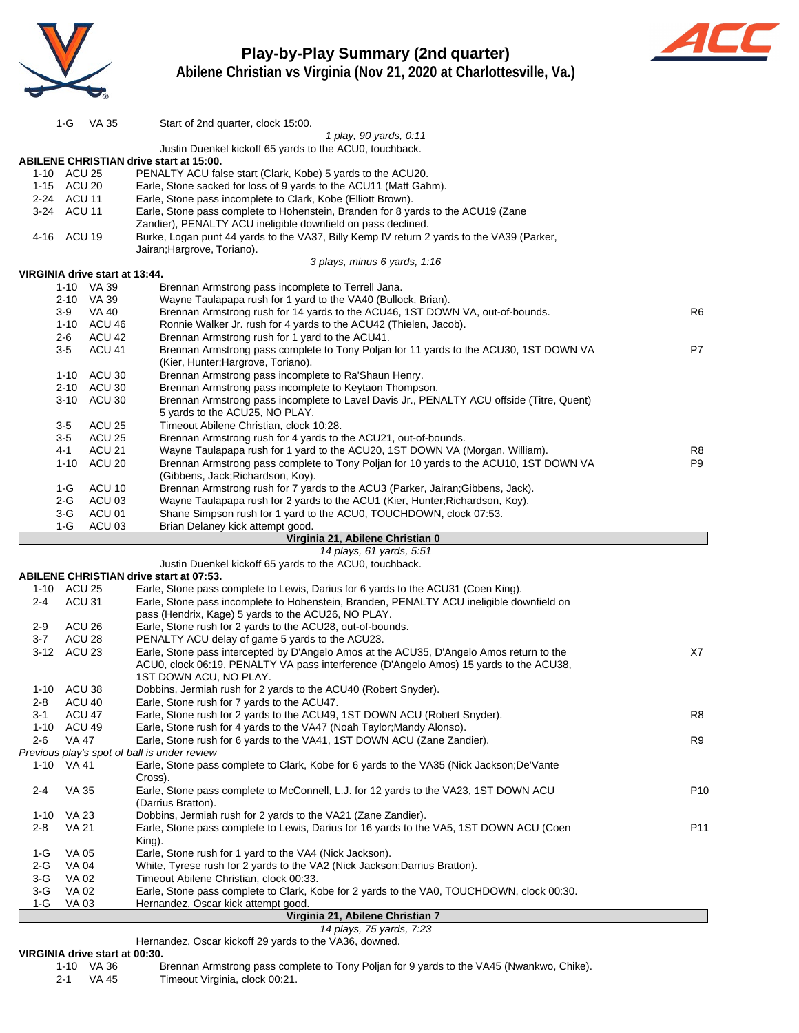

# **Play-by-Play Summary (2nd quarter)**



**Abilene Christian vs Virginia (Nov 21, 2020 at Charlottesville, Va.)**

Hernandez, Oscar kickoff 29 yards to the VA36, downed.

# **VIRGINIA drive start at 00:30.**<br>1-10 VA 36 B

1-10 VA 36 Brennan Armstrong pass complete to Tony Poljan for 9 yards to the VA45 (Nwankwo, Chike).<br>2-1 VA 45 Timeout Virginia, clock 00:21.

Timeout Virginia, clock 00:21.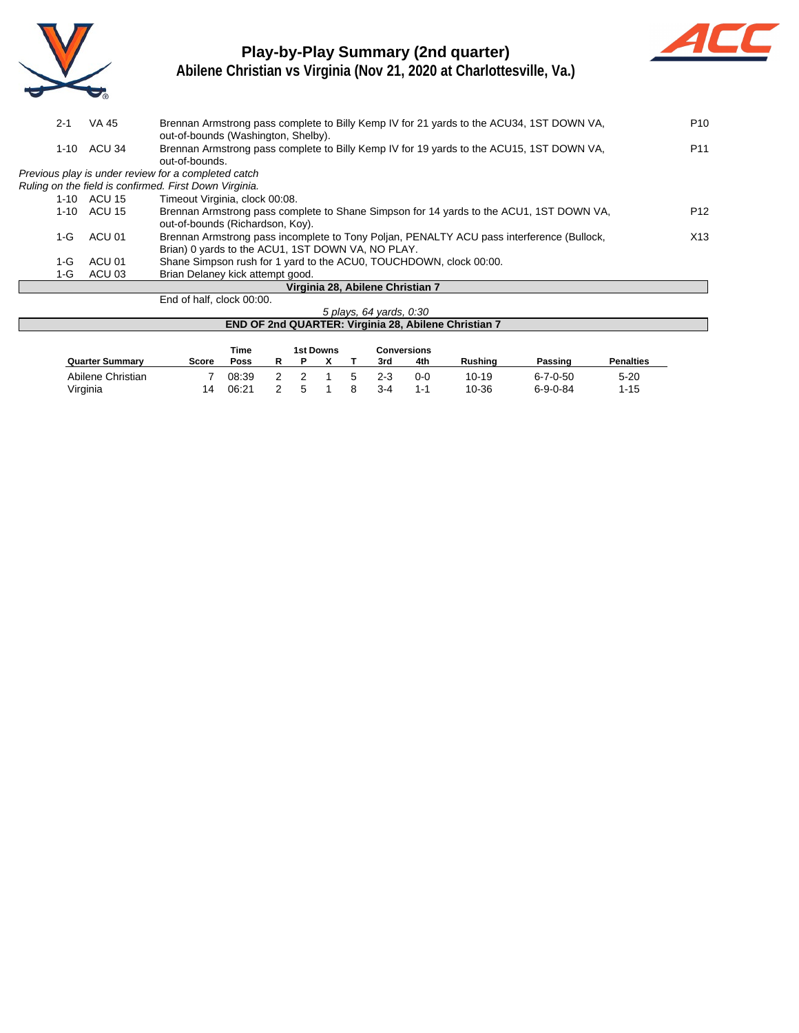

# **Play-by-Play Summary (2nd quarter)**



| $2 - 1$  | VA 45                   | Brennan Armstrong pass complete to Billy Kemp IV for 21 yards to the ACU34, 1ST DOWN VA,                                        | P <sub>10</sub> |  |  |  |  |  |  |  |  |
|----------|-------------------------|---------------------------------------------------------------------------------------------------------------------------------|-----------------|--|--|--|--|--|--|--|--|
| $1 - 10$ | ACU 34                  | out-of-bounds (Washington, Shelby).<br>Brennan Armstrong pass complete to Billy Kemp IV for 19 yards to the ACU15, 1ST DOWN VA, | P <sub>11</sub> |  |  |  |  |  |  |  |  |
|          |                         | out-of-bounds.                                                                                                                  |                 |  |  |  |  |  |  |  |  |
|          |                         | Previous play is under review for a completed catch                                                                             |                 |  |  |  |  |  |  |  |  |
|          |                         | Ruling on the field is confirmed. First Down Virginia.                                                                          |                 |  |  |  |  |  |  |  |  |
|          | 1-10 ACU 15             | Timeout Virginia, clock 00:08.                                                                                                  |                 |  |  |  |  |  |  |  |  |
| $1 - 10$ | ACU 15                  | Brennan Armstrong pass complete to Shane Simpson for 14 yards to the ACU1, 1ST DOWN VA,                                         | P <sub>12</sub> |  |  |  |  |  |  |  |  |
|          |                         | out-of-bounds (Richardson, Koy).                                                                                                |                 |  |  |  |  |  |  |  |  |
| $1-G$    | ACU 01                  | Brennan Armstrong pass incomplete to Tony Poljan, PENALTY ACU pass interference (Bullock,                                       | X13             |  |  |  |  |  |  |  |  |
|          |                         | Brian) 0 yards to the ACU1, 1ST DOWN VA, NO PLAY.                                                                               |                 |  |  |  |  |  |  |  |  |
| $1-G$    | ACU 01                  | Shane Simpson rush for 1 yard to the ACU0, TOUCHDOWN, clock 00:00.                                                              |                 |  |  |  |  |  |  |  |  |
| 1-G      | ACU 03                  | Brian Delaney kick attempt good.                                                                                                |                 |  |  |  |  |  |  |  |  |
|          |                         | Virginia 28, Abilene Christian 7                                                                                                |                 |  |  |  |  |  |  |  |  |
|          |                         | End of half, clock 00:00.                                                                                                       |                 |  |  |  |  |  |  |  |  |
|          | 5 plays, 64 yards, 0:30 |                                                                                                                                 |                 |  |  |  |  |  |  |  |  |
|          |                         | <b>END OF 2nd QUARTER: Virginia 28, Abilene Christian 7</b>                                                                     |                 |  |  |  |  |  |  |  |  |

|                        |       | <b>Time</b> |   | 1st Downs |    |       | <b>Conversions</b> |                |                  |                  |
|------------------------|-------|-------------|---|-----------|----|-------|--------------------|----------------|------------------|------------------|
| <b>Quarter Summary</b> | Score | Poss        |   |           |    | 3rd   | 4th                | <b>Rushing</b> | Passing          | <b>Penalties</b> |
| Abilene Christian      |       | 08:39       |   |           | 5. | 2-3   | 0-0                | 10-19          | $6 - 7 - 0 - 50$ | $5 - 20$         |
| Virginia               | 14    | 06:21       | G |           |    | $3-4$ | 1-1                | 10-36          | $6 - 9 - 0 - 84$ | 1-15             |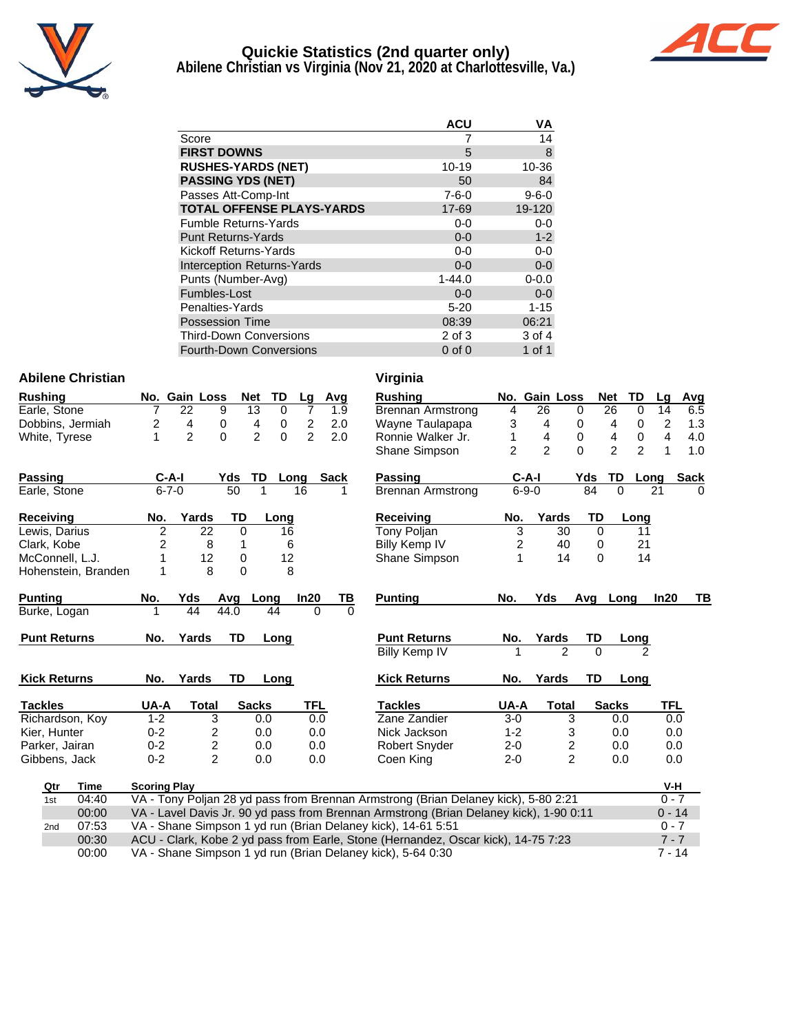

# **Quickie Statistics (2nd quarter only)**

**Abilene Christian vs Virginia (Nov 21, 2020 at Charlottesville, Va.)**



|                                  | <b>ACU</b>  | VA          |
|----------------------------------|-------------|-------------|
| Score                            | 7           | 14          |
| <b>FIRST DOWNS</b>               | 5           | 8           |
| <b>RUSHES-YARDS (NET)</b>        | 10-19       | 10-36       |
| <b>PASSING YDS (NET)</b>         | 50          | 84          |
| Passes Att-Comp-Int              | $7 - 6 - 0$ | $9 - 6 - 0$ |
| <b>TOTAL OFFENSE PLAYS-YARDS</b> | 17-69       | 19-120      |
| <b>Fumble Returns-Yards</b>      | $0-0$       | $0-0$       |
| <b>Punt Returns-Yards</b>        | $0 - 0$     | $1 - 2$     |
| Kickoff Returns-Yards            | $0 - 0$     | $0-0$       |
| Interception Returns-Yards       | $0 - 0$     | $0-0$       |
| Punts (Number-Avg)               | $1 - 44.0$  | $0 - 0.0$   |
| Fumbles-Lost                     | $0 - 0$     | $0 - 0$     |
| Penalties-Yards                  | $5 - 20$    | $1 - 15$    |
| <b>Possession Time</b>           | 08:39       | 06:21       |
| <b>Third-Down Conversions</b>    | 2 of 3      | 3 of 4      |
| <b>Fourth-Down Conversions</b>   | $0$ of $0$  | 1 of 1      |

### **Abilene Christian Virginia**

| <b>Rushing</b>      |                     | No. Gain Loss  | <b>Net</b>  | TD                          | Lg             | Avg         | <b>Rushing</b>                                                                         |                | No. Gain Loss  |                         |           | <b>Net</b><br>TD                 |
|---------------------|---------------------|----------------|-------------|-----------------------------|----------------|-------------|----------------------------------------------------------------------------------------|----------------|----------------|-------------------------|-----------|----------------------------------|
| Earle, Stone        | 7                   | 22             | 9           | $\overline{13}$<br>$\Omega$ | 7              | 1.9         | <b>Brennan Armstrong</b>                                                               | 4              | 26             | $\Omega$                |           | 26<br>$\Omega$                   |
| Dobbins, Jermiah    | 2                   | 4              | 0           | 4<br>0                      | $\overline{c}$ | 2.0         | Wayne Taulapapa                                                                        | 3              | 4              | 0                       |           | 4<br>$\mathbf 0$                 |
| White, Tyrese       | 1                   | $\overline{2}$ | $\Omega$    | $\overline{2}$<br>$\Omega$  | $\mathcal{P}$  | 2.0         | Ronnie Walker Jr.                                                                      | 1              | 4              | $\mathbf 0$             |           | $\pmb{0}$<br>4                   |
|                     |                     |                |             |                             |                |             | Shane Simpson                                                                          | $\overline{2}$ | $\overline{2}$ | $\Omega$                |           | $\overline{2}$<br>$\overline{2}$ |
| Passing             | $C-A-I$             |                | Yds         | TD                          | Long           | <b>Sack</b> | Passing                                                                                |                | $C-A-I$        |                         | Yds       | TD<br>Lo                         |
| Earle, Stone        | $6 - 7 - 0$         |                | 50          | 1                           | 16             |             | <b>Brennan Armstrong</b>                                                               |                | $6 - 9 - 0$    |                         | 84        | $\Omega$                         |
| <b>Receiving</b>    | No.                 | Yards          | <b>TD</b>   | Long                        |                |             | <b>Receiving</b>                                                                       | No.            | Yards          |                         | <b>TD</b> | Long                             |
| Lewis, Darius       | $\overline{2}$      | 22             | $\Omega$    | 16                          |                |             | Tony Poljan                                                                            | 3              |                | 30                      | 0         | 11                               |
| Clark, Kobe         | 2                   | 8              | 1           |                             | 6              |             | Billy Kemp IV                                                                          | 2              |                | 40                      | $\Omega$  | 21                               |
| McConnell, L.J.     |                     | 12             | $\mathbf 0$ | 12                          |                |             | <b>Shane Simpson</b>                                                                   | 1              |                | 14                      | $\Omega$  | 14                               |
| Hohenstein, Branden | 1                   | 8              | 0           |                             | 8              |             |                                                                                        |                |                |                         |           |                                  |
| <b>Punting</b>      | No.                 | Yds            | Avg         | Long                        | In20           | TВ          | <b>Punting</b>                                                                         | No.            | <b>Yds</b>     |                         | Avg       | Long                             |
| Burke, Logan        |                     | 44             | 44.0        | 44                          | $\Omega$       | $\Omega$    |                                                                                        |                |                |                         |           |                                  |
| <b>Punt Returns</b> | No.                 | Yards          | <b>TD</b>   | Long                        |                |             | <b>Punt Returns</b>                                                                    | No.            | Yards          |                         | TD        | Long                             |
|                     |                     |                |             |                             |                |             | Billy Kemp IV                                                                          |                |                | $\overline{2}$          | $\Omega$  |                                  |
| <b>Kick Returns</b> | No.                 | Yards          | <b>TD</b>   | Long                        |                |             | <b>Kick Returns</b>                                                                    | No.            | Yards          |                         | <b>TD</b> | Long                             |
| <b>Tackles</b>      | UA-A                | Total          |             | <b>Sacks</b>                | TFL            |             | <b>Tackles</b>                                                                         | UA-A           |                | <b>Total</b>            |           | <b>Sacks</b>                     |
| Richardson, Koy     | $1 - 2$             | 3              |             | 0.0                         | 0.0            |             | Zane Zandier                                                                           | $3-0$          |                | 3                       |           | 0.0                              |
| Kier, Hunter        | $0 - 2$             | 2              |             | 0.0                         | 0.0            |             | Nick Jackson                                                                           | $1 - 2$        |                | 3                       |           | 0.0                              |
| Parker, Jairan      | $0 - 2$             | $\overline{c}$ |             | 0.0                         | 0.0            |             | <b>Robert Snyder</b>                                                                   | $2 - 0$        |                | $\overline{\mathbf{c}}$ |           | 0.0                              |
| Gibbens, Jack       | $0 - 2$             | $\overline{2}$ |             | 0.0                         | 0.0            |             | Coen King                                                                              | $2 - 0$        |                | $\overline{2}$          |           | 0.0                              |
| Qtr<br>Time         | <b>Scoring Play</b> |                |             |                             |                |             |                                                                                        |                |                |                         |           |                                  |
| 04:40<br>1st        |                     |                |             |                             |                |             | VA - Tony Poljan 28 yd pass from Brennan Armstrong (Brian Delaney kick), 5-80 2:21     |                |                |                         |           |                                  |
| 00:00               |                     |                |             |                             |                |             | VA - Lavel Davis Jr. 90 vd pass from Brennan Armstrong (Brian Delaney kick), 1-90 0:11 |                |                |                         |           |                                  |

| v II yn lla          |     |               |       |     |            |                |      |      |
|----------------------|-----|---------------|-------|-----|------------|----------------|------|------|
| Rushing              |     | No. Gain Loss |       |     | <b>Net</b> | TD             | Lg   | Avg  |
| Brennan Armstrong    | 4   | 26            |       | 0   | 26         | 0              | 14   | 6.5  |
| Wayne Taulapapa      | 3   | 4             |       | 0   | 4          | 0              | 2    | 1.3  |
| Ronnie Walker Jr.    | 1   | 4             |       | 0   | 4          | 0              | 4    | 4.0  |
| Shane Simpson        | 2   | 2             |       | 0   | 2          | $\overline{c}$ | 1    | 1.0  |
| Passing              |     | C-A-I         |       | Yds | TD         | Long           |      | Sack |
| Brennan Armstrong    |     | 6-9-0         |       | 84  | 0          |                | 21   | 0    |
| Receiving            | No. |               | Yards | TD  |            | Long           |      |      |
| Tony Poljan          | 3   |               | 30    |     | 0          | 11             |      |      |
| <b>Billy Kemp IV</b> | 2   |               | 40    |     | 0          | 21             |      |      |
| Shane Simpson        | 1   |               | 14    |     | 0          | 14             |      |      |
|                      |     |               |       |     |            |                |      |      |
| <b>Punting</b>       | No. | Yds           |       | Avg | Long       |                | In20 | ΤВ   |
|                      |     |               |       |     |            |                |      |      |
| <b>Punt Returns</b>  | No. | Yards         |       | TD  |            | Long           |      |      |
| Billy Kemp IV        | 1   |               | 2     | 0   |            | 2              |      |      |

# **Kick Returns No. Yards TD Long Kick Returns No. Yards TD Long**

| <b>Tackles</b>       | UA-A    | Total | <b>Sacks</b> | <b>TFL</b> |
|----------------------|---------|-------|--------------|------------|
| Zane Zandier         | $3-0$   | 3     | 0.0          | 0.0        |
| Nick Jackson         | $1 - 2$ | 3     | 0.0          | 0.0        |
| <b>Robert Snyder</b> | $2 - 0$ | 2     | 0.0          | 0.0        |
| Coen King            | $2 - 0$ | 2     | 0.0          | 0.0        |

| Qtr | Time  | <b>Scoring Play</b>                                                                    | V-H      |
|-----|-------|----------------------------------------------------------------------------------------|----------|
| 1st | 04:40 | VA - Tony Poljan 28 yd pass from Brennan Armstrong (Brian Delaney kick), 5-80 2:21     | $0 - 7$  |
|     | 00:00 | VA - Lavel Davis Jr. 90 yd pass from Brennan Armstrong (Brian Delaney kick), 1-90 0:11 | $0 - 14$ |
| 2nd | 07:53 | VA - Shane Simpson 1 yd run (Brian Delaney kick), 14-61 5:51                           | $0 - 7$  |
|     | 00:30 | ACU - Clark, Kobe 2 yd pass from Earle, Stone (Hernandez, Oscar kick), 14-75 7:23      | $7 - 7$  |
|     | 00:00 | VA - Shane Simpson 1 yd run (Brian Delaney kick), 5-64 0:30                            | 7 - 14   |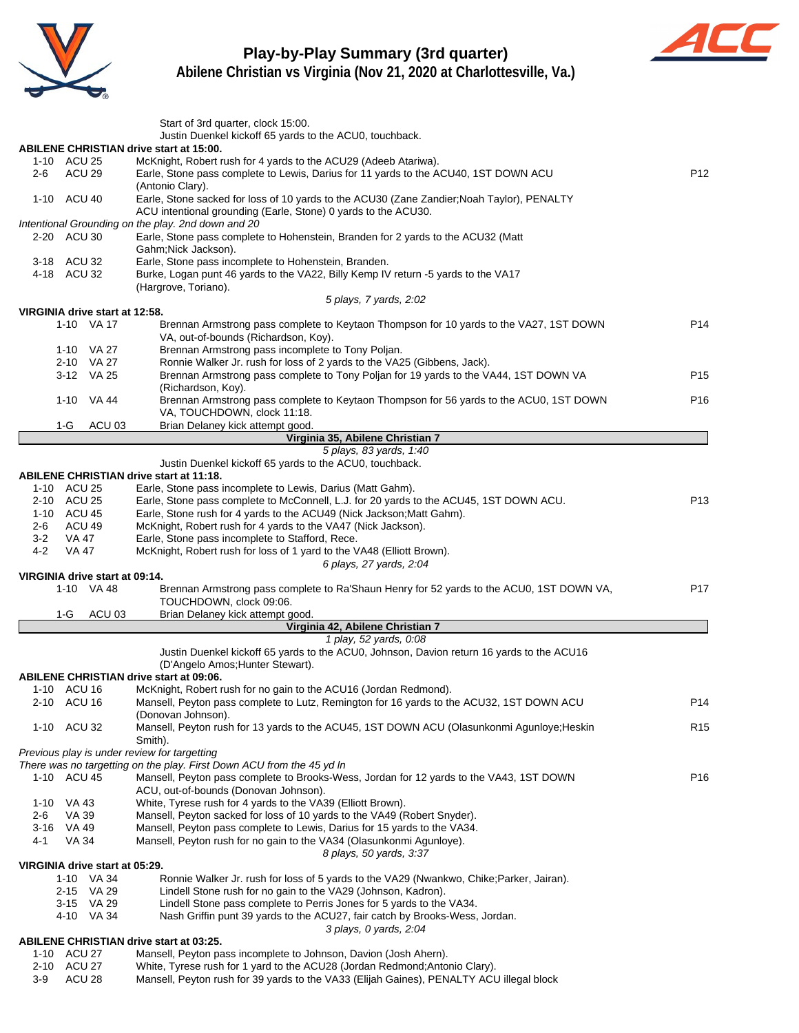

# **Play-by-Play Summary (3rd quarter)**



|                                   | Start of 3rd quarter, clock 15:00.<br>Justin Duenkel kickoff 65 yards to the ACU0, touchback.                                                                |                 |  |  |  |  |  |  |  |  |
|-----------------------------------|--------------------------------------------------------------------------------------------------------------------------------------------------------------|-----------------|--|--|--|--|--|--|--|--|
|                                   | <b>ABILENE CHRISTIAN drive start at 15:00.</b>                                                                                                               |                 |  |  |  |  |  |  |  |  |
| 1-10 ACU 25                       | McKnight, Robert rush for 4 yards to the ACU29 (Adeeb Atariwa).<br>Earle, Stone pass complete to Lewis, Darius for 11 yards to the ACU40, 1ST DOWN ACU       | P <sub>12</sub> |  |  |  |  |  |  |  |  |
| ACU 29<br>2-6                     | (Antonio Clary).                                                                                                                                             |                 |  |  |  |  |  |  |  |  |
| 1-10 ACU 40                       | Earle, Stone sacked for loss of 10 yards to the ACU30 (Zane Zandier; Noah Taylor), PENALTY<br>ACU intentional grounding (Earle, Stone) 0 yards to the ACU30. |                 |  |  |  |  |  |  |  |  |
|                                   | Intentional Grounding on the play. 2nd down and 20                                                                                                           |                 |  |  |  |  |  |  |  |  |
| 2-20 ACU 30                       | Earle, Stone pass complete to Hohenstein, Branden for 2 yards to the ACU32 (Matt<br>Gahm; Nick Jackson).                                                     |                 |  |  |  |  |  |  |  |  |
| 3-18 ACU 32<br>4-18 ACU 32        | Earle, Stone pass incomplete to Hohenstein, Branden.<br>Burke, Logan punt 46 yards to the VA22, Billy Kemp IV return -5 yards to the VA17                    |                 |  |  |  |  |  |  |  |  |
|                                   | (Hargrove, Toriano).<br>5 plays, 7 yards, 2:02                                                                                                               |                 |  |  |  |  |  |  |  |  |
| VIRGINIA drive start at 12:58.    |                                                                                                                                                              |                 |  |  |  |  |  |  |  |  |
| 1-10 VA 17                        | Brennan Armstrong pass complete to Keytaon Thompson for 10 yards to the VA27, 1ST DOWN                                                                       | P <sub>14</sub> |  |  |  |  |  |  |  |  |
|                                   | VA, out-of-bounds (Richardson, Koy).                                                                                                                         |                 |  |  |  |  |  |  |  |  |
| 1-10 VA 27<br>2-10 VA 27          | Brennan Armstrong pass incomplete to Tony Poljan.<br>Ronnie Walker Jr. rush for loss of 2 yards to the VA25 (Gibbens, Jack).                                 |                 |  |  |  |  |  |  |  |  |
| 3-12 VA 25                        | Brennan Armstrong pass complete to Tony Poljan for 19 yards to the VA44, 1ST DOWN VA                                                                         | P <sub>15</sub> |  |  |  |  |  |  |  |  |
|                                   | (Richardson, Koy).                                                                                                                                           |                 |  |  |  |  |  |  |  |  |
| 1-10 VA 44                        | Brennan Armstrong pass complete to Keytaon Thompson for 56 yards to the ACU0, 1ST DOWN<br>VA, TOUCHDOWN, clock 11:18.                                        | P <sub>16</sub> |  |  |  |  |  |  |  |  |
| $1-G$<br>ACU <sub>03</sub>        | Brian Delaney kick attempt good.                                                                                                                             |                 |  |  |  |  |  |  |  |  |
|                                   | Virginia 35, Abilene Christian 7                                                                                                                             |                 |  |  |  |  |  |  |  |  |
|                                   | 5 plays, 83 yards, 1:40<br>Justin Duenkel kickoff 65 yards to the ACU0, touchback.                                                                           |                 |  |  |  |  |  |  |  |  |
|                                   | <b>ABILENE CHRISTIAN drive start at 11:18.</b>                                                                                                               |                 |  |  |  |  |  |  |  |  |
| 1-10 ACU 25                       | Earle, Stone pass incomplete to Lewis, Darius (Matt Gahm).                                                                                                   |                 |  |  |  |  |  |  |  |  |
| 2-10 ACU 25                       | Earle, Stone pass complete to McConnell, L.J. for 20 yards to the ACU45, 1ST DOWN ACU.                                                                       | P <sub>13</sub> |  |  |  |  |  |  |  |  |
| 1-10 ACU 45                       | Earle, Stone rush for 4 yards to the ACU49 (Nick Jackson; Matt Gahm).                                                                                        |                 |  |  |  |  |  |  |  |  |
| ACU 49<br>2-6<br>$3-2$<br>VA 47   | McKnight, Robert rush for 4 yards to the VA47 (Nick Jackson).                                                                                                |                 |  |  |  |  |  |  |  |  |
| $4-2$<br>VA 47                    | Earle, Stone pass incomplete to Stafford, Rece.<br>McKnight, Robert rush for loss of 1 yard to the VA48 (Elliott Brown).                                     |                 |  |  |  |  |  |  |  |  |
|                                   | 6 plays, 27 yards, 2:04                                                                                                                                      |                 |  |  |  |  |  |  |  |  |
| VIRGINIA drive start at 09:14.    |                                                                                                                                                              |                 |  |  |  |  |  |  |  |  |
| 1-10 VA 48                        | Brennan Armstrong pass complete to Ra'Shaun Henry for 52 yards to the ACU0, 1ST DOWN VA,<br>TOUCHDOWN, clock 09:06.                                          | P <sub>17</sub> |  |  |  |  |  |  |  |  |
| 1-G                               | ACU 03<br>Brian Delaney kick attempt good.                                                                                                                   |                 |  |  |  |  |  |  |  |  |
|                                   | Virginia 42, Abilene Christian 7<br>1 play, 52 yards, 0:08                                                                                                   |                 |  |  |  |  |  |  |  |  |
|                                   | Justin Duenkel kickoff 65 yards to the ACU0, Johnson, Davion return 16 yards to the ACU16<br>(D'Angelo Amos; Hunter Stewart).                                |                 |  |  |  |  |  |  |  |  |
|                                   | <b>ABILENE CHRISTIAN drive start at 09:06.</b>                                                                                                               |                 |  |  |  |  |  |  |  |  |
| 1-10 ACU 16                       | McKnight, Robert rush for no gain to the ACU16 (Jordan Redmond).                                                                                             |                 |  |  |  |  |  |  |  |  |
| 2-10 ACU 16                       | Mansell, Peyton pass complete to Lutz, Remington for 16 yards to the ACU32, 1ST DOWN ACU<br>(Donovan Johnson).                                               | P14             |  |  |  |  |  |  |  |  |
| 1-10 ACU 32                       | Mansell, Peyton rush for 13 yards to the ACU45, 1ST DOWN ACU (Olasunkonmi Agunloye; Heskin<br>Smith).                                                        | R <sub>15</sub> |  |  |  |  |  |  |  |  |
|                                   | Previous play is under review for targetting                                                                                                                 |                 |  |  |  |  |  |  |  |  |
|                                   | There was no targetting on the play. First Down ACU from the 45 yd In                                                                                        |                 |  |  |  |  |  |  |  |  |
| 1-10 ACU 45                       | Mansell, Peyton pass complete to Brooks-Wess, Jordan for 12 yards to the VA43, 1ST DOWN<br>ACU, out-of-bounds (Donovan Johnson).                             | P <sub>16</sub> |  |  |  |  |  |  |  |  |
| 1-10 VA 43                        | White, Tyrese rush for 4 yards to the VA39 (Elliott Brown).                                                                                                  |                 |  |  |  |  |  |  |  |  |
| VA 39<br>2-6                      | Mansell, Peyton sacked for loss of 10 yards to the VA49 (Robert Snyder).<br>Mansell, Peyton pass complete to Lewis, Darius for 15 yards to the VA34.         |                 |  |  |  |  |  |  |  |  |
| 3-16 VA 49<br>4-1<br><b>VA 34</b> | Mansell, Peyton rush for no gain to the VA34 (Olasunkonmi Agunloye).                                                                                         |                 |  |  |  |  |  |  |  |  |
|                                   | 8 plays, 50 yards, 3:37                                                                                                                                      |                 |  |  |  |  |  |  |  |  |
| VIRGINIA drive start at 05:29.    |                                                                                                                                                              |                 |  |  |  |  |  |  |  |  |
| 1-10 VA 34                        | Ronnie Walker Jr. rush for loss of 5 yards to the VA29 (Nwankwo, Chike; Parker, Jairan).                                                                     |                 |  |  |  |  |  |  |  |  |
| 2-15 VA 29                        | Lindell Stone rush for no gain to the VA29 (Johnson, Kadron).                                                                                                |                 |  |  |  |  |  |  |  |  |
| 3-15 VA 29<br>4-10 VA 34          | Lindell Stone pass complete to Perris Jones for 5 yards to the VA34.<br>Nash Griffin punt 39 yards to the ACU27, fair catch by Brooks-Wess, Jordan.          |                 |  |  |  |  |  |  |  |  |
|                                   | 3 plays, 0 yards, 2:04                                                                                                                                       |                 |  |  |  |  |  |  |  |  |
|                                   | <b>ABILENE CHRISTIAN drive start at 03:25.</b>                                                                                                               |                 |  |  |  |  |  |  |  |  |
| 1-10 ACU 27                       | Mansell, Peyton pass incomplete to Johnson, Davion (Josh Ahern).                                                                                             |                 |  |  |  |  |  |  |  |  |
| 2-10 ACU 27                       | White, Tyrese rush for 1 yard to the ACU28 (Jordan Redmond; Antonio Clary).                                                                                  |                 |  |  |  |  |  |  |  |  |
| ACU 28<br>3-9                     | Mansell, Peyton rush for 39 yards to the VA33 (Elijah Gaines), PENALTY ACU illegal block                                                                     |                 |  |  |  |  |  |  |  |  |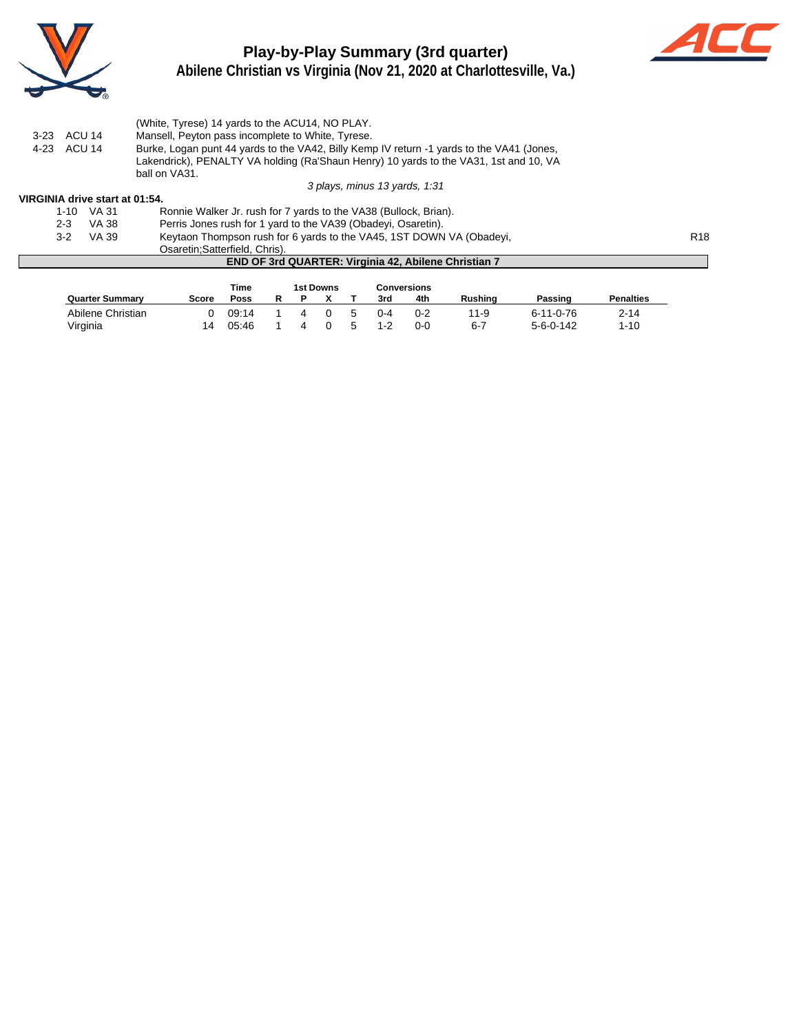

# **Play-by-Play Summary (3rd quarter)**



**Abilene Christian vs Virginia (Nov 21, 2020 at Charlottesville, Va.)**

|             | (White, Tyrese) 14 yards to the ACU14, NO PLAY.                                           |
|-------------|-------------------------------------------------------------------------------------------|
| 3-23 ACU 14 | Mansell, Peyton pass incomplete to White, Tyrese.                                         |
| 4-23 ACU 14 | Burke, Logan punt 44 yards to the VA42, Billy Kemp IV return -1 yards to the VA41 (Jones, |
|             | Lakendrick), PENALTY VA holding (Ra'Shaun Henry) 10 yards to the VA31, 1st and 10, VA     |
|             | ball on VA31.                                                                             |

3 plays, minus 13 yards, 1:31

#### **VIRGINIA drive start at 01:54.**

|         |       | Osaretin; Satterfield, Chris).<br><b>END OF 3rd QUARTER: Virginia 42, Abilene Christian 7</b> |                 |
|---------|-------|-----------------------------------------------------------------------------------------------|-----------------|
|         |       |                                                                                               |                 |
| $3-2$   | VA 39 | Keytaon Thompson rush for 6 yards to the VA45, 1ST DOWN VA (Obadeyi,                          | R <sub>18</sub> |
| $2 - 3$ | VA 38 | Perris Jones rush for 1 yard to the VA39 (Obadeyi, Osaretin).                                 |                 |
| 1-10    | VA 31 | Ronnie Walker Jr. rush for 7 yards to the VA38 (Bullock, Brian).                              |                 |

| END OF 3rd QUARTER: Virginia 42, Abilene Christian 7 |  |  |
|------------------------------------------------------|--|--|
|------------------------------------------------------|--|--|

|                        |       | Time  | 1st Downs |   |         | Conversions |          |                   |                  |
|------------------------|-------|-------|-----------|---|---------|-------------|----------|-------------------|------------------|
| <b>Quarter Summary</b> | Score | Poss  |           |   | 3rd     | 4th         | Rushina  | Passing           | <b>Penalties</b> |
| Abilene Christian      |       | 09:14 |           | 5 | $0 - 4$ | $0 - 2$     | $11 - 9$ | $6 - 11 - 0 - 76$ | $2 - 14$         |
| Virginia               | 14    | 05:46 | 4         | 5 | $1 - 2$ | በ-በ         | 6-7      | $5 - 6 - 0 - 142$ | $1 - 10$         |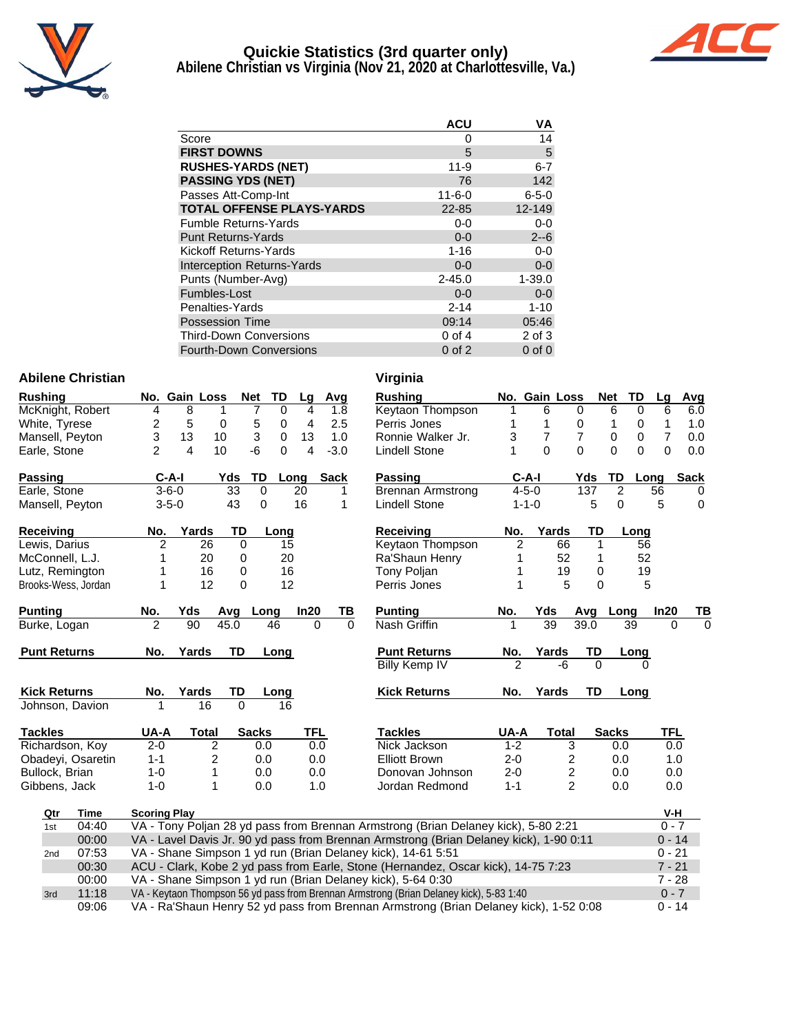

# **Quickie Statistics (3rd quarter only)**



**Abilene Christian vs Virginia (Nov 21, 2020 at Charlottesville, Va.)**

|                                   | <b>ACU</b>   | ٧A          |
|-----------------------------------|--------------|-------------|
| Score                             | 0            | 14          |
| <b>FIRST DOWNS</b>                | 5            | $\mathbf 5$ |
| <b>RUSHES-YARDS (NET)</b>         | $11 - 9$     | $6 - 7$     |
| <b>PASSING YDS (NET)</b>          | 76           | 142         |
| Passes Att-Comp-Int               | $11 - 6 - 0$ | $6 - 5 - 0$ |
| <b>TOTAL OFFENSE PLAYS-YARDS</b>  | 22-85        | 12-149      |
| <b>Fumble Returns-Yards</b>       | $0-0$        | $0-0$       |
| <b>Punt Returns-Yards</b>         | $0 - 0$      | $2 - 6$     |
| Kickoff Returns-Yards             | $1 - 16$     | $0-0$       |
| <b>Interception Returns-Yards</b> | $0 - 0$      | $0-0$       |
| Punts (Number-Avg)                | $2 - 45.0$   | $1 - 39.0$  |
| Fumbles-Lost                      | $0 - 0$      | $0-0$       |
| Penalties-Yards                   | $2 - 14$     | $1 - 10$    |
| <b>Possession Time</b>            | 09:14        | 05:46       |
| <b>Third-Down Conversions</b>     | $0$ of $4$   | 2 of 3      |
| <b>Fourth-Down Conversions</b>    | $0$ of $2$   | $0$ of $0$  |

### **Abilene Christian Virginia**

| <b>Rushing</b>   |                     |                     | No. Gain Loss  |                | <b>Net</b>      | <b>TD</b>   | Lg   | Avg         |          | <b>Rushing</b>                                                                          |                | No. Gain Loss |                  | <b>Net</b>   | TD             | Lq             | Avg         |
|------------------|---------------------|---------------------|----------------|----------------|-----------------|-------------|------|-------------|----------|-----------------------------------------------------------------------------------------|----------------|---------------|------------------|--------------|----------------|----------------|-------------|
|                  | McKnight, Robert    | 4                   | 8              | 1              | 7               | $\Omega$    | 4    |             | 1.8      | Keytaon Thompson                                                                        | 1              | 6             | 0                | 6            | 0              | 6              | 6.0         |
|                  | White, Tyrese       | 2                   | 5              | 0              | 5               | 0           | 4    |             | 2.5      | Perris Jones                                                                            | 1              | 1             | 0                | 1            | 0              | $\mathbf{1}$   | 1.0         |
|                  | Mansell, Peyton     | 3                   | 13             | 10             | 3               | $\mathbf 0$ | 13   |             | 1.0      | Ronnie Walker Jr.                                                                       | 3              | 7             | $\overline{7}$   | 0            | 0              | $\overline{7}$ | 0.0         |
| Earle, Stone     |                     | $\overline{2}$      | $\overline{4}$ | 10             | -6              | 0           | 4    |             | $-3.0$   | <b>Lindell Stone</b>                                                                    | 1              | $\Omega$      | $\Omega$         | $\Omega$     | 0              | $\overline{0}$ | 0.0         |
| Passing          |                     |                     | $C-A-I$        | Yds            | <b>TD</b>       |             | Long | <b>Sack</b> |          | Passing                                                                                 |                | $C-A-I$       | Yds              |              | TD<br>Long     |                | <b>Sack</b> |
| Earle, Stone     |                     |                     | $3 - 6 - 0$    |                | $\overline{33}$ | 0           | 20   |             | 1        | <b>Brennan Armstrong</b>                                                                |                | $4 - 5 - 0$   |                  | 137          | $\overline{2}$ | 56             | 0           |
|                  | Mansell, Peyton     |                     | $3 - 5 - 0$    |                | 43              | 0           | 16   |             | 1        | <b>Lindell Stone</b>                                                                    |                | $1 - 1 - 0$   |                  | 5            | $\Omega$       | 5              | $\mathbf 0$ |
| <b>Receiving</b> |                     | No.                 | Yards          |                | TD              | Long        |      |             |          | <b>Receiving</b>                                                                        | No.            |               | Yards            | TD           | Long           |                |             |
|                  | Lewis, Darius       | $\overline{2}$      |                | 26             | 0               | 15          |      |             |          | Keytaon Thompson                                                                        | $\overline{2}$ |               | 66               | 1            | 56             |                |             |
|                  | McConnell, L.J.     | 1                   |                | 20             | 0               | 20          |      |             |          | Ra'Shaun Henry                                                                          | 1              |               | 52               | 1            | 52             |                |             |
|                  | Lutz, Remington     | 1                   |                | 16             | 0               | 16          |      |             |          | Tony Poljan                                                                             | 1              |               | 19               | 0            | 19             |                |             |
|                  | Brooks-Wess, Jordan | 1                   |                | 12             | $\pmb{0}$       | 12          |      |             |          | Perris Jones                                                                            | 1              |               | 5                | 0            | 5              |                |             |
| <b>Punting</b>   |                     | No.                 | Yds            | Avg            |                 | Long        | In20 |             | TВ       | <b>Punting</b>                                                                          | No.            | Yds           | Avg              |              | Long           | In20           | TВ          |
|                  | Burke, Logan        | $\overline{2}$      | 90             | 45.0           |                 | 46          |      | $\Omega$    | $\Omega$ | Nash Griffin                                                                            |                | 39            | 39.0             |              | 39             | $\Omega$       | $\Omega$    |
|                  | <b>Punt Returns</b> | No.                 | Yards          |                | TD              | Long        |      |             |          | <b>Punt Returns</b>                                                                     | No.            | Yards         |                  | TD           | Long           |                |             |
|                  |                     |                     |                |                |                 |             |      |             |          | <b>Billy Kemp IV</b>                                                                    | $\mathfrak{p}$ |               | -6               | $\Omega$     |                |                |             |
|                  | <b>Kick Returns</b> | No.                 | Yards          |                | TD              | Long        |      |             |          | <b>Kick Returns</b>                                                                     | No.            | Yards         |                  | <b>TD</b>    | Long           |                |             |
|                  | Johnson, Davion     |                     |                | 16             | $\Omega$        | 16          |      |             |          |                                                                                         |                |               |                  |              |                |                |             |
| <b>Tackles</b>   |                     | UA-A                |                | <b>Total</b>   | <b>Sacks</b>    |             |      | TFL         |          | <b>Tackles</b>                                                                          | UA-A           |               | <b>Total</b>     | <b>Sacks</b> |                | TFL            |             |
|                  | Richardson, Koy     | $2 - 0$             |                | $\overline{2}$ |                 | 0.0         |      | 0.0         |          | Nick Jackson                                                                            | $1 - 2$        |               | 3                |              | 0.0            | 0.0            |             |
|                  | Obadeyi, Osaretin   | $1 - 1$             |                | 2              |                 | 0.0         |      | 0.0         |          | <b>Elliott Brown</b>                                                                    | $2 - 0$        |               | 2                |              | 0.0            | 1.0            |             |
|                  | Bullock, Brian      | $1 - 0$             |                | 1              |                 | 0.0         |      | 0.0         |          | Donovan Johnson                                                                         | $2 - 0$        |               | $\boldsymbol{2}$ |              | 0.0            | 0.0            |             |
|                  | Gibbens, Jack       | $1 - 0$             |                | 1              |                 | 0.0         |      | 1.0         |          | Jordan Redmond                                                                          | $1 - 1$        |               | 2                |              | 0.0            | 0.0            |             |
| Qtr              | <b>Time</b>         | <b>Scoring Play</b> |                |                |                 |             |      |             |          |                                                                                         |                |               |                  |              |                | V-H            |             |
| 1st              | 04:40               |                     |                |                |                 |             |      |             |          | VA - Tony Poljan 28 yd pass from Brennan Armstrong (Brian Delaney kick), 5-80 2:21      |                |               |                  |              |                | $0 - 7$        |             |
|                  | 00:00               |                     |                |                |                 |             |      |             |          | VA - Lavel Davis Jr. 90 yd pass from Brennan Armstrong (Brian Delaney kick), 1-90 0:11  |                |               |                  |              |                | $0 - 14$       |             |
| 2 <sub>nd</sub>  | 07:53               |                     |                |                |                 |             |      |             |          | VA - Shane Simpson 1 yd run (Brian Delaney kick), 14-61 5:51                            |                |               |                  |              |                | $0 - 21$       |             |
|                  | 00:30               |                     |                |                |                 |             |      |             |          | ACU - Clark, Kobe 2 yd pass from Earle, Stone (Hernandez, Oscar kick), 14-75 7:23       |                |               |                  |              |                | $7 - 21$       |             |
|                  | 00:00               |                     |                |                |                 |             |      |             |          | VA - Shane Simpson 1 yd run (Brian Delaney kick), 5-64 0:30                             |                |               |                  |              |                | $7 - 28$       |             |
| 3rd              | 11:18               |                     |                |                |                 |             |      |             |          | VA - Keytaon Thompson 56 yd pass from Brennan Armstrong (Brian Delaney kick), 5-83 1:40 |                |               |                  |              |                | $0 - 7$        |             |
|                  | 09:06               |                     |                |                |                 |             |      |             |          | VA - Ra'Shaun Henry 52 yd pass from Brennan Armstrong (Brian Delaney kick), 1-52 0:08   |                |               |                  |              |                | $0 - 14$       |             |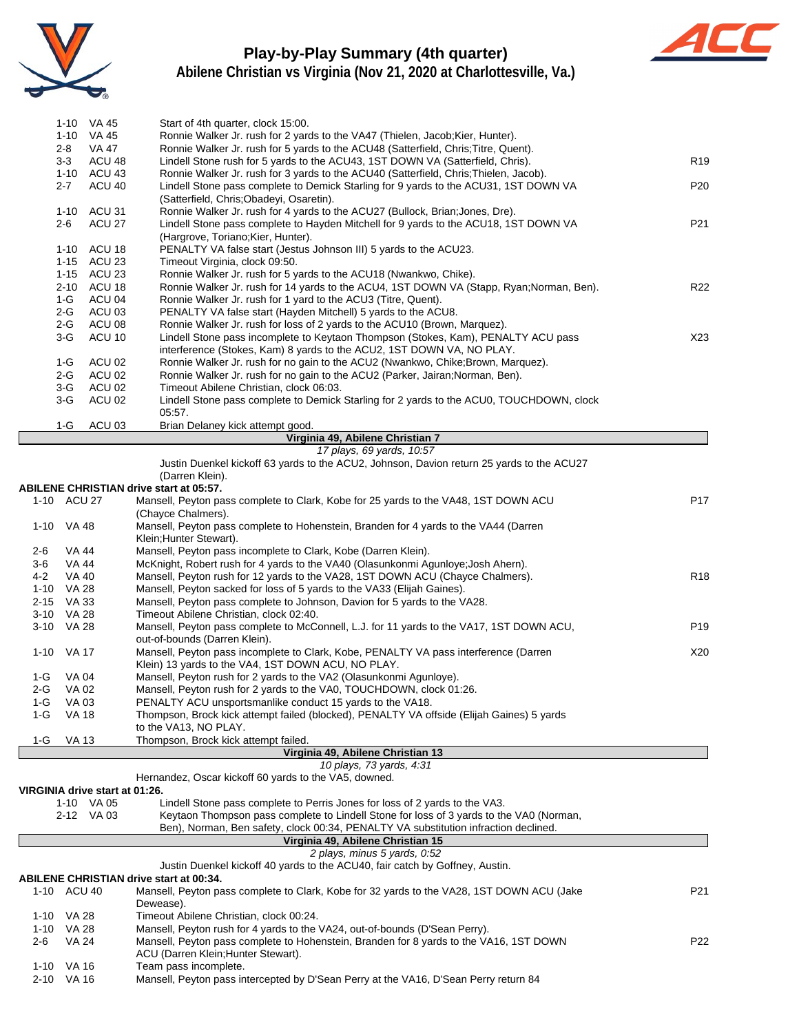

# **Play-by-Play Summary (4th quarter)**



**Abilene Christian vs Virginia (Nov 21, 2020 at Charlottesville, Va.)**

|          |              | 1-10 VA 45                     | Start of 4th quarter, clock 15:00.                                                        |                 |
|----------|--------------|--------------------------------|-------------------------------------------------------------------------------------------|-----------------|
|          |              | 1-10 VA 45                     | Ronnie Walker Jr. rush for 2 yards to the VA47 (Thielen, Jacob; Kier, Hunter).            |                 |
|          | $2 - 8$      | VA 47                          | Ronnie Walker Jr. rush for 5 yards to the ACU48 (Satterfield, Chris; Titre, Quent).       |                 |
|          | $3-3$        | ACU 48                         | Lindell Stone rush for 5 yards to the ACU43, 1ST DOWN VA (Satterfield, Chris).            | R <sub>19</sub> |
|          |              | 1-10 ACU 43                    | Ronnie Walker Jr. rush for 3 yards to the ACU40 (Satterfield, Chris; Thielen, Jacob).     |                 |
|          | $2 - 7$      | ACU 40                         | Lindell Stone pass complete to Demick Starling for 9 yards to the ACU31, 1ST DOWN VA      | P20             |
|          |              |                                | (Satterfield, Chris; Obadeyi, Osaretin).                                                  |                 |
|          | 1-10         | ACU 31                         | Ronnie Walker Jr. rush for 4 yards to the ACU27 (Bullock, Brian; Jones, Dre).             |                 |
|          |              | ACU 27                         |                                                                                           | P21             |
|          | 2-6          |                                | Lindell Stone pass complete to Hayden Mitchell for 9 yards to the ACU18, 1ST DOWN VA      |                 |
|          |              |                                | (Hargrove, Toriano; Kier, Hunter).                                                        |                 |
|          |              | 1-10 ACU 18                    | PENALTY VA false start (Jestus Johnson III) 5 yards to the ACU23.                         |                 |
|          |              | 1-15 ACU 23                    | Timeout Virginia, clock 09:50.                                                            |                 |
|          |              | 1-15 ACU 23                    | Ronnie Walker Jr. rush for 5 yards to the ACU18 (Nwankwo, Chike).                         |                 |
|          | $2 - 10$     | ACU 18                         | Ronnie Walker Jr. rush for 14 yards to the ACU4, 1ST DOWN VA (Stapp, Ryan;Norman, Ben).   | R <sub>22</sub> |
|          | $1-G$        | ACU 04                         | Ronnie Walker Jr. rush for 1 yard to the ACU3 (Titre, Quent).                             |                 |
|          | $2-G$        | ACU 03                         | PENALTY VA false start (Hayden Mitchell) 5 yards to the ACU8.                             |                 |
|          | $2-G$        | ACU 08                         | Ronnie Walker Jr. rush for loss of 2 yards to the ACU10 (Brown, Marquez).                 |                 |
|          | $3-G$        | ACU 10                         | Lindell Stone pass incomplete to Keytaon Thompson (Stokes, Kam), PENALTY ACU pass         | X23             |
|          |              |                                | interference (Stokes, Kam) 8 yards to the ACU2, 1ST DOWN VA, NO PLAY.                     |                 |
|          | 1-G          | ACU 02                         | Ronnie Walker Jr. rush for no gain to the ACU2 (Nwankwo, Chike; Brown, Marquez).          |                 |
|          | $2-G$        | ACU <sub>02</sub>              | Ronnie Walker Jr. rush for no gain to the ACU2 (Parker, Jairan; Norman, Ben).             |                 |
|          | $3-G$        | ACU 02                         | Timeout Abilene Christian, clock 06:03.                                                   |                 |
|          | $3-G$        | ACU 02                         | Lindell Stone pass complete to Demick Starling for 2 yards to the ACU0, TOUCHDOWN, clock  |                 |
|          |              |                                | 05:57.                                                                                    |                 |
|          | $1-G$        | ACU <sub>03</sub>              | Brian Delaney kick attempt good.                                                          |                 |
|          |              |                                | Virginia 49, Abilene Christian 7                                                          |                 |
|          |              |                                | 17 plays, 69 yards, 10:57                                                                 |                 |
|          |              |                                | Justin Duenkel kickoff 63 yards to the ACU2, Johnson, Davion return 25 yards to the ACU27 |                 |
|          |              |                                | (Darren Klein).                                                                           |                 |
|          |              |                                | <b>ABILENE CHRISTIAN drive start at 05:57.</b>                                            |                 |
|          |              |                                |                                                                                           |                 |
|          | 1-10 ACU 27  |                                | Mansell, Peyton pass complete to Clark, Kobe for 25 yards to the VA48, 1ST DOWN ACU       | P17             |
|          |              |                                | (Chayce Chalmers).                                                                        |                 |
|          | 1-10 VA 48   |                                | Mansell, Peyton pass complete to Hohenstein, Branden for 4 yards to the VA44 (Darren      |                 |
|          |              |                                | Klein; Hunter Stewart).                                                                   |                 |
| $2-6$    | <b>VA 44</b> |                                | Mansell, Peyton pass incomplete to Clark, Kobe (Darren Klein).                            |                 |
| 3-6      | VA 44        |                                | McKnight, Robert rush for 4 yards to the VA40 (Olasunkonmi Agunloye; Josh Ahern).         |                 |
| 4-2      | <b>VA 40</b> |                                | Mansell, Peyton rush for 12 yards to the VA28, 1ST DOWN ACU (Chayce Chalmers).            | R <sub>18</sub> |
| $1 - 10$ | <b>VA 28</b> |                                | Mansell, Peyton sacked for loss of 5 yards to the VA33 (Elijah Gaines).                   |                 |
|          | 2-15 VA 33   |                                | Mansell, Peyton pass complete to Johnson, Davion for 5 yards to the VA28.                 |                 |
|          | 3-10 VA 28   |                                | Timeout Abilene Christian, clock 02:40.                                                   |                 |
|          | 3-10 VA 28   |                                | Mansell, Peyton pass complete to McConnell, L.J. for 11 yards to the VA17, 1ST DOWN ACU,  | P <sub>19</sub> |
|          |              |                                | out-of-bounds (Darren Klein).                                                             |                 |
|          | 1-10 VA 17   |                                | Mansell, Peyton pass incomplete to Clark, Kobe, PENALTY VA pass interference (Darren      | X20             |
|          |              |                                | Klein) 13 yards to the VA4, 1ST DOWN ACU, NO PLAY.                                        |                 |
| 1-G      | VA 04        |                                | Mansell, Peyton rush for 2 yards to the VA2 (Olasunkonmi Agunloye).                       |                 |
| 2-G      | <b>VA 02</b> |                                | Mansell, Peyton rush for 2 yards to the VA0, TOUCHDOWN, clock 01:26.                      |                 |
|          |              |                                |                                                                                           |                 |
| $1-G$    | VA 03        |                                | PENALTY ACU unsportsmanlike conduct 15 yards to the VA18.                                 |                 |
| 1-G      | <b>VA 18</b> |                                | Thompson, Brock kick attempt failed (blocked), PENALTY VA offside (Elijah Gaines) 5 yards |                 |
|          |              |                                | to the VA13, NO PLAY.                                                                     |                 |
| $1-G$    | VA 13        |                                | Thompson, Brock kick attempt failed.                                                      |                 |
|          |              |                                | Virginia 49, Abilene Christian 13                                                         |                 |
|          |              |                                | 10 plays, 73 yards, 4:31                                                                  |                 |
|          |              |                                | Hernandez, Oscar kickoff 60 yards to the VA5, downed.                                     |                 |
|          |              | VIRGINIA drive start at 01:26. |                                                                                           |                 |
|          |              | 1-10 VA 05                     | Lindell Stone pass complete to Perris Jones for loss of 2 yards to the VA3.               |                 |
|          |              | 2-12 VA 03                     | Keytaon Thompson pass complete to Lindell Stone for loss of 3 yards to the VA0 (Norman,   |                 |
|          |              |                                | Ben), Norman, Ben safety, clock 00:34, PENALTY VA substitution infraction declined.       |                 |
|          |              |                                | Virginia 49, Abilene Christian 15                                                         |                 |
|          |              |                                | 2 plays, minus 5 yards, 0:52                                                              |                 |
|          |              |                                | Justin Duenkel kickoff 40 yards to the ACU40, fair catch by Goffney, Austin.              |                 |
|          |              |                                | <b>ABILENE CHRISTIAN drive start at 00:34.</b>                                            |                 |
|          | 1-10 ACU 40  |                                | Mansell, Peyton pass complete to Clark, Kobe for 32 yards to the VA28, 1ST DOWN ACU (Jake | P21             |
|          |              |                                | Dewease).                                                                                 |                 |
| 1-10     | VA 28        |                                | Timeout Abilene Christian, clock 00:24.                                                   |                 |
| 1-10     | <b>VA 28</b> |                                | Mansell, Peyton rush for 4 yards to the VA24, out-of-bounds (D'Sean Perry).               |                 |
|          | VA 24        |                                | Mansell, Peyton pass complete to Hohenstein, Branden for 8 yards to the VA16, 1ST DOWN    | P22             |
| 2-6      |              |                                |                                                                                           |                 |
|          |              |                                | ACU (Darren Klein; Hunter Stewart).                                                       |                 |
|          | 1-10 VA 16   |                                | Team pass incomplete.                                                                     |                 |
|          | 2-10 VA 16   |                                | Mansell, Peyton pass intercepted by D'Sean Perry at the VA16, D'Sean Perry return 84      |                 |

Mansell, Peyton pass intercepted by D'Sean Perry at the VA16, D'Sean Perry return 84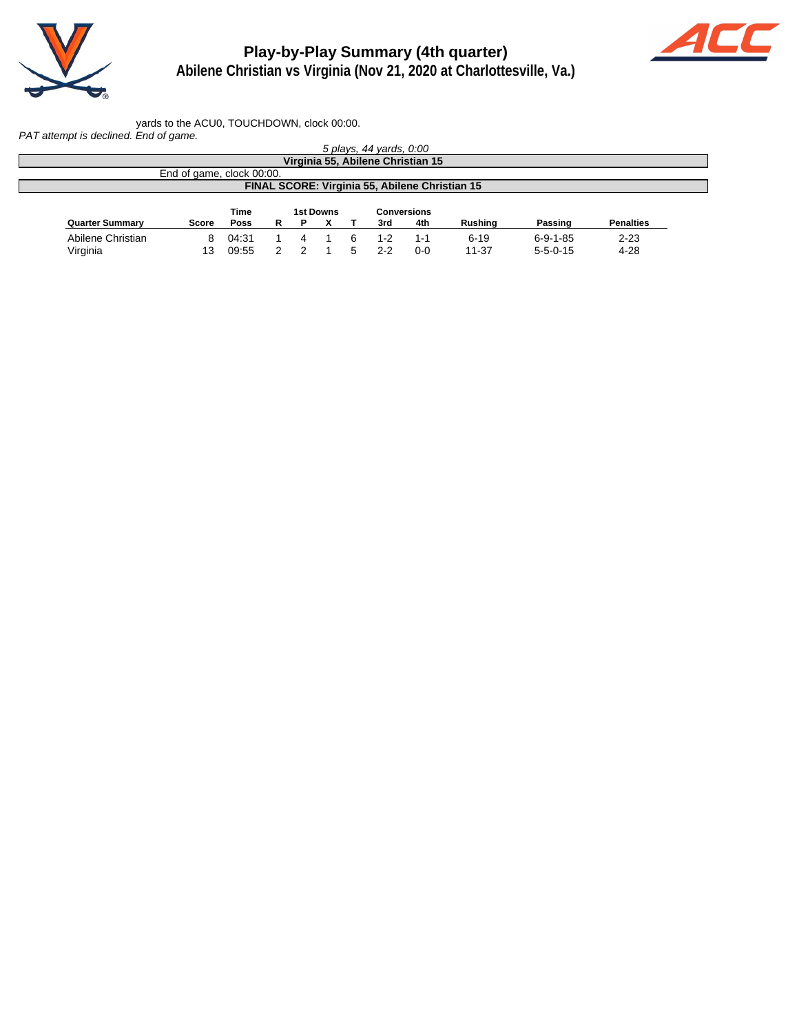

# **Play-by-Play Summary (4th quarter)**



**Abilene Christian vs Virginia (Nov 21, 2020 at Charlottesville, Va.)**

yards to the ACU0, TOUCHDOWN, clock 00:00.

PAT attempt is declined. End of game.

|                        |                           |             |    |   |                  | 5 plays, 44 yards, 0:00 |                                                |                |                  |                  |
|------------------------|---------------------------|-------------|----|---|------------------|-------------------------|------------------------------------------------|----------------|------------------|------------------|
|                        |                           |             |    |   |                  |                         | Virginia 55, Abilene Christian 15              |                |                  |                  |
|                        | End of game, clock 00:00. |             |    |   |                  |                         |                                                |                |                  |                  |
|                        |                           |             |    |   |                  |                         | FINAL SCORE: Virginia 55, Abilene Christian 15 |                |                  |                  |
|                        |                           |             |    |   |                  |                         |                                                |                |                  |                  |
|                        |                           |             |    |   |                  |                         |                                                |                |                  |                  |
|                        |                           | <b>Time</b> |    |   | <b>1st Downs</b> |                         | <b>Conversions</b>                             |                |                  |                  |
| <b>Quarter Summary</b> | Score                     | <b>Poss</b> | R. | P |                  | 3rd                     | 4th                                            | <b>Rushing</b> | Passing          | <b>Penalties</b> |
| Abilene Christian      | 8.                        | 04:31       |    |   |                  | 1-2                     | 1-1                                            | $6 - 19$       | $6 - 9 - 1 - 85$ | $2 - 23$         |